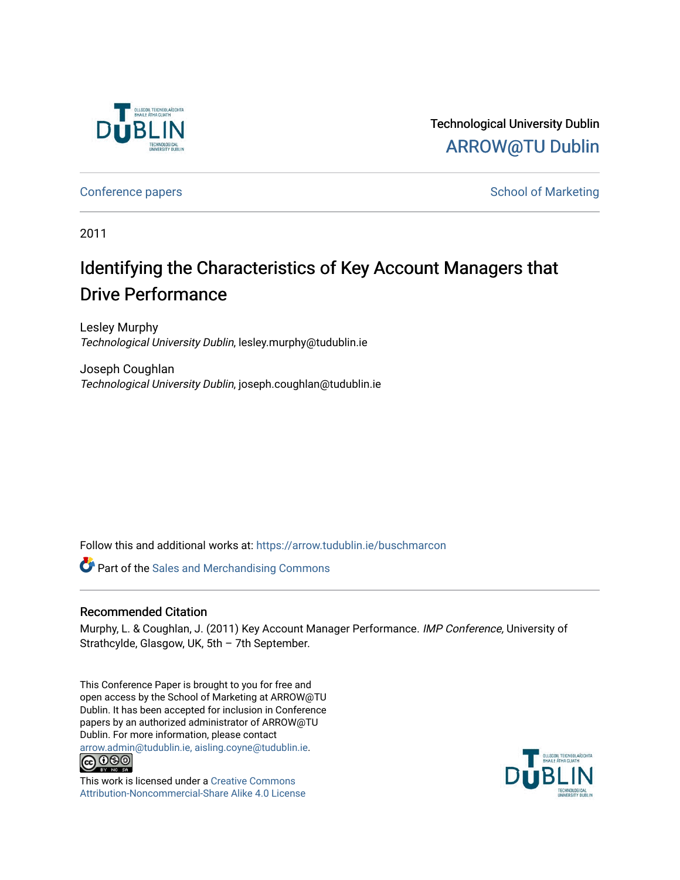

Technological University Dublin [ARROW@TU Dublin](https://arrow.tudublin.ie/) 

[Conference papers](https://arrow.tudublin.ie/buschmarcon) **School of Marketing** Conference papers **School of Marketing** 

2011

# Identifying the Characteristics of Key Account Managers that Drive Performance

Lesley Murphy Technological University Dublin, lesley.murphy@tudublin.ie

Joseph Coughlan Technological University Dublin, joseph.coughlan@tudublin.ie

Follow this and additional works at: [https://arrow.tudublin.ie/buschmarcon](https://arrow.tudublin.ie/buschmarcon?utm_source=arrow.tudublin.ie%2Fbuschmarcon%2F171&utm_medium=PDF&utm_campaign=PDFCoverPages) 

**Part of the [Sales and Merchandising Commons](http://network.bepress.com/hgg/discipline/646?utm_source=arrow.tudublin.ie%2Fbuschmarcon%2F171&utm_medium=PDF&utm_campaign=PDFCoverPages)** 

# Recommended Citation

Murphy, L. & Coughlan, J. (2011) Key Account Manager Performance. IMP Conference, University of Strathcylde, Glasgow, UK, 5th – 7th September.

This Conference Paper is brought to you for free and open access by the School of Marketing at ARROW@TU Dublin. It has been accepted for inclusion in Conference papers by an authorized administrator of ARROW@TU Dublin. For more information, please contact [arrow.admin@tudublin.ie, aisling.coyne@tudublin.ie](mailto:arrow.admin@tudublin.ie,%20aisling.coyne@tudublin.ie).<br>COOO



This work is licensed under a [Creative Commons](http://creativecommons.org/licenses/by-nc-sa/4.0/) [Attribution-Noncommercial-Share Alike 4.0 License](http://creativecommons.org/licenses/by-nc-sa/4.0/)

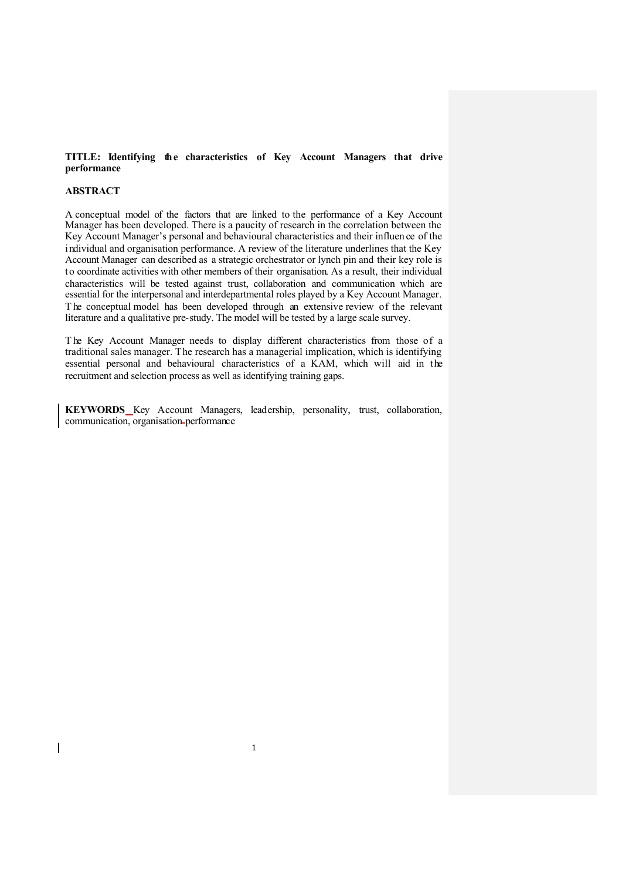## **TITLE: Identifying the characteristics of Key Account Managers that drive performance**

#### **ABSTRACT**

 $\overline{1}$ 

A conceptual model of the factors that are linked to the performance of a Key Account Manager has been developed. There is a paucity of research in the correlation between the Key Account Manager's personal and behavioural characteristics and their influen ce of the individual and organisation performance. A review of the literature underlines that the Key Account Manager can described as a strategic orchestrator or lynch pin and their key role is to coordinate activities with other members of their organisation. As a result, their individual characteristics will be tested against trust, collaboration and communication which are essential for the interpersonal and interdepartmental roles played by a Key Account Manager. The conceptual model has been developed through an extensive review of the relevant literature and a qualitative pre-study. The model will be tested by a large scale survey.

T he Key Account Manager needs to display different characteristics from those of a traditional sales manager. The research has a managerial implication, which is identifying essential personal and behavioural characteristics of a KAM, which will aid in the recruitment and selection process as well as identifying training gaps.

**KEYWORDS** Key Account Managers, leadership, personality, trust, collaboration, communication, organisation performance

1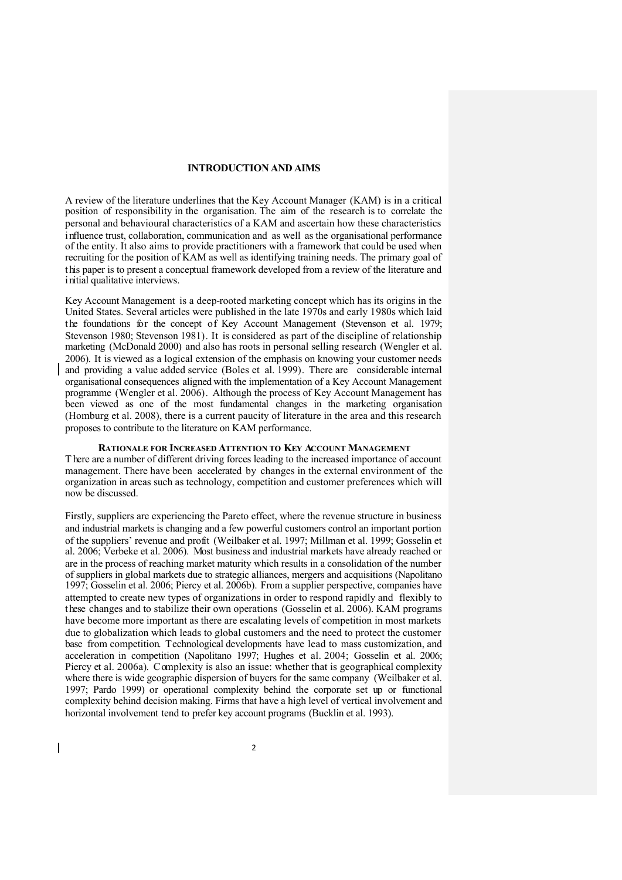# **INTRODUCTION AND AIMS**

A review of the literature underlines that the Key Account Manager (KAM) is in a critical position of responsibility in the organisation. The aim of the research is to correlate the personal and behavioural characteristics of a KAM and ascertain how these characteristics influence trust, collaboration, communication and as well as the organisational performance of the entity. It also aims to provide practitioners with a framework that could be used when recruiting for the position of KAM as well as identifying training needs. The primary goal of this paper is to present a conceptual framework developed from a review of the literature and initial qualitative interviews.

Key Account Management is a deep-rooted marketing concept which has its origins in the United States. Several articles were published in the late 1970s and early 1980s which laid the foundations for the concept of Key Account Management (Stevenson et al. 1979; Stevenson 1980; Stevenson 1981). It is considered as part of the discipline of relationship marketing (McDonald 2000) and also has roots in personal selling research (Wengler et al. 2006). It is viewed as a logical extension of the emphasis on knowing your customer needs and providing a value added service (Boles et al. 1999). There are considerable internal organisational consequences aligned with the implementation of a Key Account Management programme (Wengler et al. 2006). Although the process of Key Account Management has been viewed as one of the most fundamental changes in the marketing organisation (Homburg et al. 2008), there is a current paucity of literature in the area and this research proposes to contribute to the literature on KAM performance.

#### **RATIONALE FOR INCREASED ATTENTION TO KEY ACCOUNT MANAGEMENT**

T here are a number of different driving forces leading to the increased importance of account management. There have been accelerated by changes in the external environment of the organization in areas such as technology, competition and customer preferences which will now be discussed.

Firstly, suppliers are experiencing the Pareto effect, where the revenue structure in business and industrial markets is changing and a few powerful customers control an important portion of the suppliers' revenue and profit (Weilbaker et al. 1997; Millman et al. 1999; Gosselin et al. 2006; Verbeke et al. 2006). Most business and industrial markets have already reached or are in the process of reaching market maturity which results in a consolidation of the number of suppliers in global markets due to strategic alliances, mergers and acquisitions (Napolitano 1997; Gosselin et al. 2006; Piercy et al. 2006b). From a supplier perspective, companies have attempted to create new types of organizations in order to respond rapidly and flexibly to these changes and to stabilize their own operations (Gosselin et al. 2006). KAM programs have become more important as there are escalating levels of competition in most markets due to globalization which leads to global customers and the need to protect the customer base from competition. Technological developments have lead to mass customization, and acceleration in competition (Napolitano 1997; Hughes et al. 2004; Gosselin et al. 2006; Piercy et al. 2006a). Complexity is also an issue: whether that is geographical complexity where there is wide geographic dispersion of buyers for the same company (Weilbaker et al. 1997; Pardo 1999) or operational complexity behind the corporate set up or functional complexity behind decision making. Firms that have a high level of vertical involvement and horizontal involvement tend to prefer key account programs (Bucklin et al. 1993).

 $\mathbf{I}$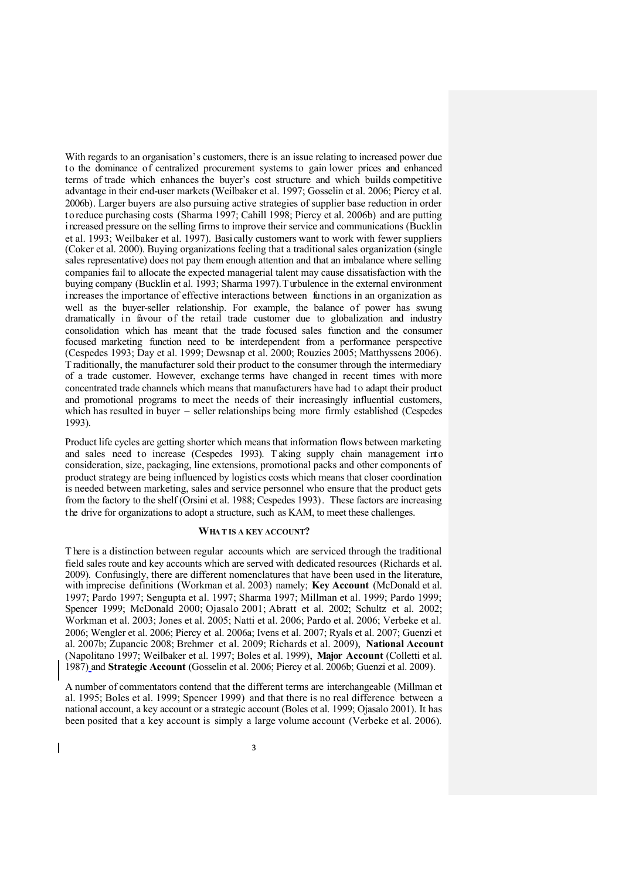With regards to an organisation's customers, there is an issue relating to increased power due to the dominance of centralized procurement systems to gain lower prices and enhanced terms of trade which enhances the buyer's cost structure and which builds competitive advantage in their end-user markets (Weilbaker et al. 1997; Gosselin et al. 2006; Piercy et al. 2006b). Larger buyers are also pursuing active strategies of supplier base reduction in order to reduce purchasing costs (Sharma 1997; Cahill 1998; Piercy et al. 2006b) and are putting increased pressure on the selling firms to improve their service and communications (Bucklin et al. 1993; Weilbaker et al. 1997). Basically customers want to work with fewer suppliers (Coker et al. 2000). Buying organizations feeling that a traditional sales organization (single sales representative) does not pay them enough attention and that an imbalance where selling companies fail to allocate the expected managerial talent may cause dissatisfaction with the buying company (Bucklin et al. 1993; Sharma 1997).Turbulence in the external environment increases the importance of effective interactions between functions in an organization as well as the buyer-seller relationship. For example, the balance of power has swung dramatically in favour of the retail trade customer due to globalization and industry consolidation which has meant that the trade focused sales function and the consumer focused marketing function need to be interdependent from a performance perspective (Cespedes 1993; Day et al. 1999; Dewsnap et al. 2000; Rouzies 2005; Matthyssens 2006). T raditionally, the manufacturer sold their product to the consumer through the intermediary of a trade customer. However, exchange terms have changed in recent times with more concentrated trade channels which means that manufacturers have had to adapt their product and promotional programs to meet the needs of their increasingly influential customers, which has resulted in buyer – seller relationships being more firmly established (Cespedes 1993).

Product life cycles are getting shorter which means that information flows between marketing and sales need to increase (Cespedes 1993). Taking supply chain management into consideration, size, packaging, line extensions, promotional packs and other components of product strategy are being influenced by logistics costs which means that closer coordination is needed between marketing, sales and service personnel who ensure that the product gets from the factory to the shelf (Orsini et al. 1988; Cespedes 1993). These factors are increasing the drive for organizations to adopt a structure, such as KAM, to meet these challenges.

## **WHA T IS A KEY ACCOUNT?**

T here is a distinction between regular accounts which are serviced through the traditional field sales route and key accounts which are served with dedicated resources (Richards et al. 2009). Confusingly, there are different nomenclatures that have been used in the literature, with imprecise definitions (Workman et al. 2003) namely; **Key Account** (McDonald et al. 1997; Pardo 1997; Sengupta et al. 1997; Sharma 1997; Millman et al. 1999; Pardo 1999; Spencer 1999; McDonald 2000; Ojasalo 2001; Abratt et al. 2002; Schultz et al. 2002; Workman et al. 2003; Jones et al. 2005; Natti et al. 2006; Pardo et al. 2006; Verbeke et al. 2006; Wengler et al. 2006; Piercy et al. 2006a; Ivens et al. 2007; Ryals et al. 2007; Guenzi et al. 2007b; Zupancic 2008; Brehmer et al. 2009; Richards et al. 2009), **National Account** (Napolitano 1997; Weilbaker et al. 1997; Boles et al. 1999), **Major Account** (Colletti et al. 1987) and **Strategic Account** (Gosselin et al. 2006; Piercy et al. 2006b; Guenzi et al. 2009).

A number of commentators contend that the different terms are interchangeable (Millman et al. 1995; Boles et al. 1999; Spencer 1999) and that there is no real difference between a national account, a key account or a strategic account (Boles et al. 1999; Ojasalo 2001). It has been posited that a key account is simply a large volume account (Verbeke et al. 2006).

I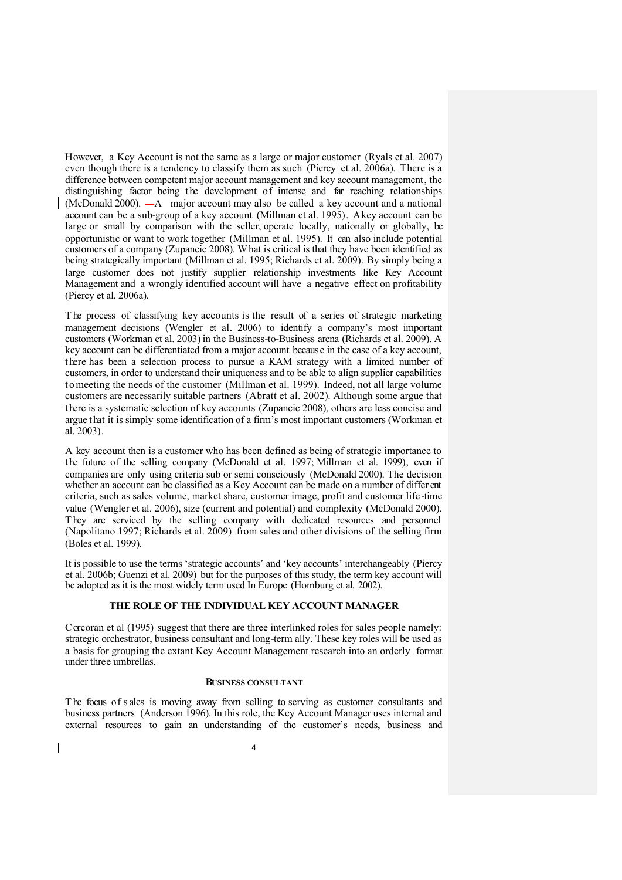However, a Key Account is not the same as a large or major customer (Ryals et al. 2007) even though there is a tendency to classify them as such (Piercy et al. 2006a). There is a difference between competent major account management and key account management, the distinguishing factor being the development of intense and far reaching relationships (McDonald 2000).  $-A$  major account may also be called a key account and a national account can be a sub-group of a key account (Millman et al. 1995). A key account can be large or small by comparison with the seller, operate locally, nationally or globally, be opportunistic or want to work together (Millman et al. 1995). It can also include potential customers of a company (Zupancic 2008). What is critical is that they have been identified as being strategically important (Millman et al. 1995; Richards et al. 2009). By simply being a large customer does not justify supplier relationship investments like Key Account Management and a wrongly identified account will have a negative effect on profitability (Piercy et al. 2006a).

T he process of classifying key accounts is the result of a series of strategic marketing management decisions (Wengler et al. 2006) to identify a company's most important customers (Workman et al. 2003) in the Business-to-Business arena (Richards et al. 2009). A key account can be differentiated from a major account because in the case of a key account, there has been a selection process to pursue a KAM strategy with a limited number of customers, in order to understand their uniqueness and to be able to align supplier capabilities to meeting the needs of the customer (Millman et al. 1999). Indeed, not all large volume customers are necessarily suitable partners (Abratt et al. 2002). Although some argue that there is a systematic selection of key accounts (Zupancic 2008), others are less concise and argue that it is simply some identification of a firm's most important customers (Workman et al. 2003).

A key account then is a customer who has been defined as being of strategic importance to the future of the selling company (McDonald et al. 1997; Millman et al. 1999), even if companies are only using criteria sub or semi consciously (McDonald 2000). The decision whether an account can be classified as a Key Account can be made on a number of differ ent criteria, such as sales volume, market share, customer image, profit and customer life -time value (Wengler et al. 2006), size (current and potential) and complexity (McDonald 2000). T hey are serviced by the selling company with dedicated resources and personnel (Napolitano 1997; Richards et al. 2009) from sales and other divisions of the selling firm (Boles et al. 1999).

It is possible to use the terms 'strategic accounts' and 'key accounts' interchangeably (Piercy et al. 2006b; Guenzi et al. 2009) but for the purposes of this study, the term key account will be adopted as it is the most widely term used In Europe (Homburg et al. 2002).

# **THE ROLE OF THE INDIVIDUAL KEY ACCOUNT MANAGER**

Corcoran et al (1995) suggest that there are three interlinked roles for sales people namely: strategic orchestrator, business consultant and long-term ally. These key roles will be used as a basis for grouping the extant Key Account Management research into an orderly format under three umbrellas.

#### **BUSINESS CONSULTANT**

T he focus of sales is moving away from selling to serving as customer consultants and business partners (Anderson 1996). In this role, the Key Account Manager uses internal and external resources to gain an understanding of the customer's needs, business and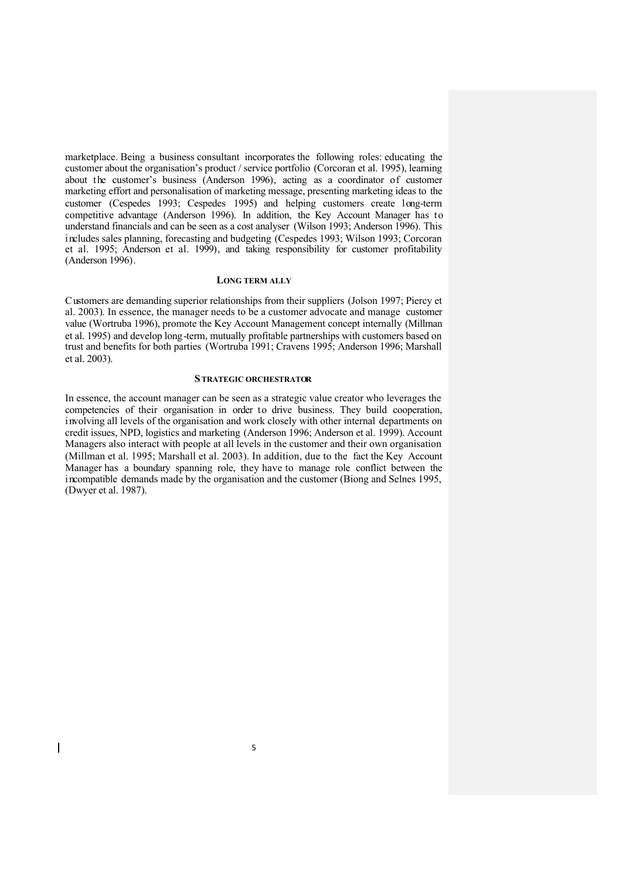marketplace. Being a business consultant incorporates the following roles: educating the customer about the organisation's product / service portfolio (Corcoran et al. 1995), learning about the customer's business (Anderson 1996), acting as a coordinator of customer marketing effort and personalisation of marketing message, presenting marketing ideas to the customer (Cespedes 1993; Cespedes 1995) and helping customers create long-term competitive advantage (Anderson 1996). In addition, the Key Account Manager has to understand financials and can be seen as a cost analyser (Wilson 1993; Anderson 1996). This includes sales planning, forecasting and budgeting (Cespedes 1993; Wilson 1993; Corcoran et al. 1995; Anderson et al. 1999), and taking responsibility for customer profitability (Anderson 1996).

#### **LONG TERM ALLY**

Customers are demanding superior relationships from their suppliers (Jolson 1997; Piercy et al. 2003). In essence, the manager needs to be a customer advocate and manage customer value (Wortruba 1996), promote the Key Account Management concept internally (Millman et al. 1995) and develop long-term, mutually profitable partnerships with customers based on trust and benefits for both parties (Wortruba 1991; Cravens 1995; Anderson 1996; Marshall et al. 2003).

#### **STRATEGIC ORCHESTRATOR**

In essence, the account manager can be seen as a strategic value creator who leverages the competencies of their organisation in order to drive business. They build cooperation, involving all levels of the organisation and work closely with other internal departments on credit issues, NPD, logistics and marketing (Anderson 1996; Anderson et al. 1999). Account Managers also interact with people at all levels in the customer and their own organisation (Millman et al. 1995; Marshall et al. 2003). In addition, due to the fact the Key Account Manager has a boundary spanning role, they have to manage role conflict between the incompatible demands made by the organisation and the customer (Biong and Selnes 1995, (Dwyer et al. 1987).

 $\mathbf{I}$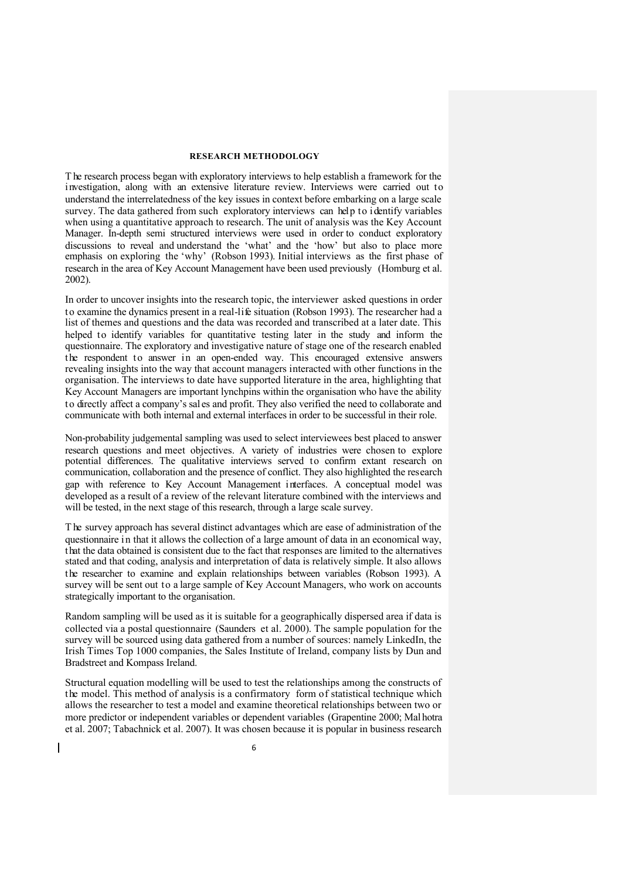## **RESEARCH METHODOLOGY**

T he research process began with exploratory interviews to help establish a framework for the investigation, along with an extensive literature review. Interviews were carried out to understand the interrelatedness of the key issues in context before embarking on a large scale survey. The data gathered from such exploratory interviews can help to identify variables when using a quantitative approach to research. The unit of analysis was the Key Account Manager. In-depth semi structured interviews were used in order to conduct exploratory discussions to reveal and understand the 'what' and the 'how' but also to place more emphasis on exploring the 'why' (Robson 1993). Initial interviews as the first phase of research in the area of Key Account Management have been used previously (Homburg et al. 2002).

In order to uncover insights into the research topic, the interviewer asked questions in order to examine the dynamics present in a real-life situation (Robson 1993). The researcher had a list of themes and questions and the data was recorded and transcribed at a later date. This helped to identify variables for quantitative testing later in the study and inform the questionnaire. The exploratory and investigative nature of stage one of the research enabled the respondent to answer in an open-ended way. This encouraged extensive answers revealing insights into the way that account managers interacted with other functions in the organisation. The interviews to date have supported literature in the area, highlighting that Key Account Managers are important lynchpins within the organisation who have the ability to directly affect a company's sal es and profit. They also verified the need to collaborate and communicate with both internal and external interfaces in order to be successful in their role.

Non-probability judgemental sampling was used to select interviewees best placed to answer research questions and meet objectives. A variety of industries were chosen to explore potential differences. The qualitative interviews served to confirm extant research on communication, collaboration and the presence of conflict. They also highlighted the research gap with reference to Key Account Management interfaces. A conceptual model was developed as a result of a review of the relevant literature combined with the interviews and will be tested, in the next stage of this research, through a large scale survey.

T he survey approach has several distinct advantages which are ease of administration of the questionnaire in that it allows the collection of a large amount of data in an economical way, that the data obtained is consistent due to the fact that responses are limited to the alternatives stated and that coding, analysis and interpretation of data is relatively simple. It also allows the researcher to examine and explain relationships between variables (Robson 1993). A survey will be sent out to a large sample of Key Account Managers, who work on accounts strategically important to the organisation.

Random sampling will be used as it is suitable for a geographically dispersed area if data is collected via a postal questionnaire (Saunders et al. 2000). The sample population for the survey will be sourced using data gathered from a number of sources: namely LinkedIn, the Irish Times Top 1000 companies, the Sales Institute of Ireland, company lists by Dun and Bradstreet and Kompass Ireland.

Structural equation modelling will be used to test the relationships among the constructs of the model. This method of analysis is a confirmatory form of statistical technique which allows the researcher to test a model and examine theoretical relationships between two or more predictor or independent variables or dependent variables (Grapentine 2000; Mal hotra et al. 2007; Tabachnick et al. 2007). It was chosen because it is popular in business research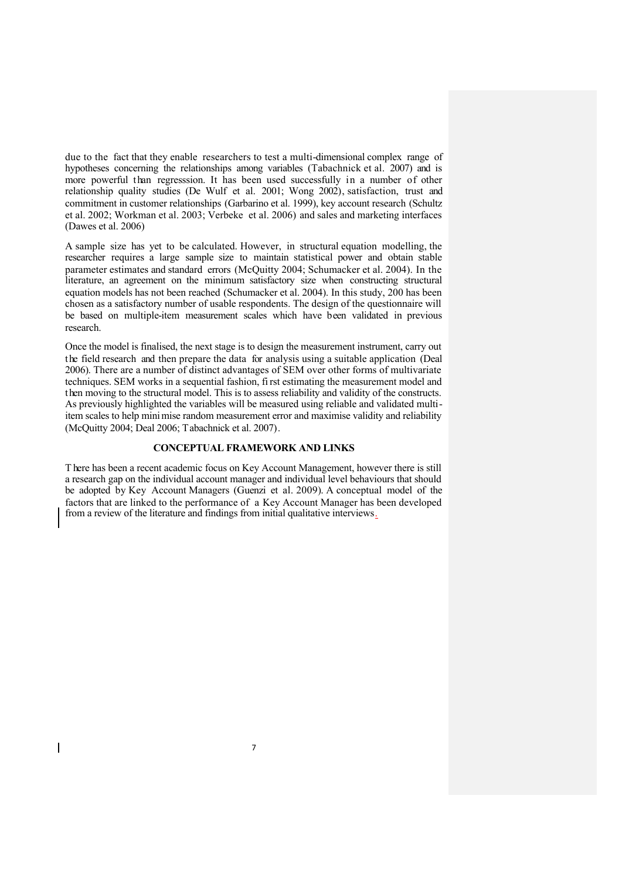due to the fact that they enable researchers to test a multi-dimensional complex range of hypotheses concerning the relationships among variables (Tabachnick et al. 2007) and is more powerful than regresssion. It has been used successfully in a number of other relationship quality studies (De Wulf et al. 2001; Wong 2002), satisfaction, trust and commitment in customer relationships (Garbarino et al. 1999), key account research (Schultz et al. 2002; Workman et al. 2003; Verbeke et al. 2006) and sales and marketing interfaces (Dawes et al. 2006)

A sample size has yet to be calculated. However, in structural equation modelling, the researcher requires a large sample size to maintain statistical power and obtain stable parameter estimates and standard errors (McQuitty 2004; Schumacker et al. 2004). In the literature, an agreement on the minimum satisfactory size when constructing structural equation models has not been reached (Schumacker et al. 2004). In this study, 200 has been chosen as a satisfactory number of usable respondents. The design of the questionnaire will be based on multiple-item measurement scales which have been validated in previous research.

Once the model is finalised, the next stage is to design the measurement instrument, carry out the field research and then prepare the data for analysis using a suitable application (Deal 2006). There are a number of distinct advantages of SEM over other forms of multivariate techniques. SEM works in a sequential fashion, first estimating the measurement model and then moving to the structural model. This is to assess reliability and validity of the constructs. As previously highlighted the variables will be measured using reliable and validated multiitem scales to help minimise random measurement error and maximise validity and reliability (McQuitty 2004; Deal 2006; Tabachnick et al. 2007).

#### **CONCEPTUAL FRAMEWORK AND LINKS**

T here has been a recent academic focus on Key Account Management, however there is still a research gap on the individual account manager and individual level behaviours that should be adopted by Key Account Managers (Guenzi et al. 2009). A conceptual model of the factors that are linked to the performance of a Key Account Manager has been developed from a review of the literature and findings from initial qualitative interviews.

 $\overline{\mathbf{I}}$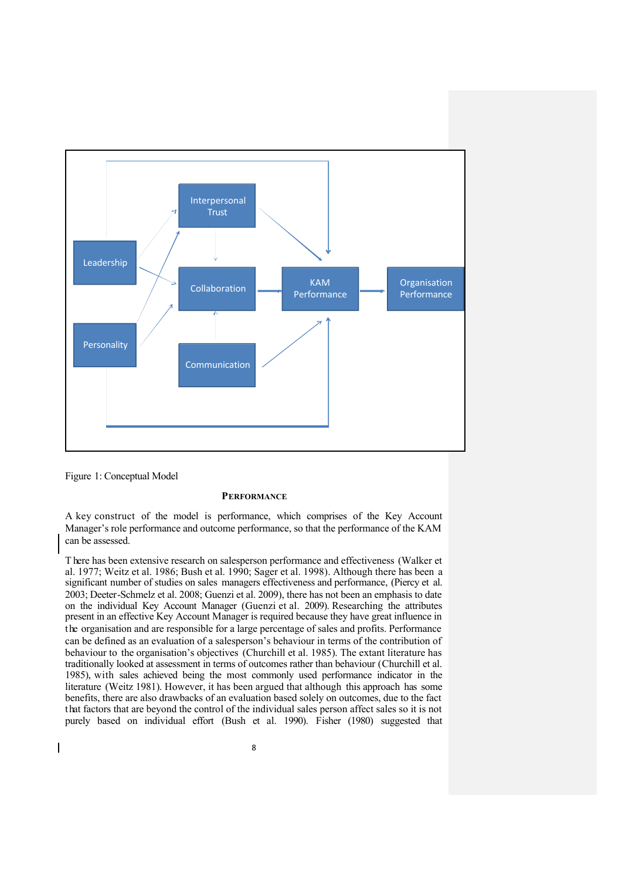

Figure 1: Conceptual Model

 $\overline{\phantom{a}}$ 

## **PERFORMANCE**

A key construct of the model is performance, which comprises of the Key Account Manager's role performance and outcome performance, so that the performance of the KAM can be assessed.

T here has been extensive research on salesperson performance and effectiveness (Walker et al. 1977; Weitz et al. 1986; Bush et al. 1990; Sager et al. 1998). Although there has been a significant number of studies on sales managers effectiveness and performance, (Piercy et al. 2003; Deeter-Schmelz et al. 2008; Guenzi et al. 2009), there has not been an emphasis to date on the individual Key Account Manager (Guenzi et al. 2009). Researching the attributes present in an effective Key Account Manager is required because they have great influence in the organisation and are responsible for a large percentage of sales and profits. Performance can be defined as an evaluation of a salesperson's behaviour in terms of the contribution of behaviour to the organisation's objectives (Churchill et al. 1985). The extant literature has traditionally looked at assessment in terms of outcomes rather than behaviour (Churchill et al. 1985), with sales achieved being the most commonly used performance indicator in the literature (Weitz 1981). However, it has been argued that although this approach has some benefits, there are also drawbacks of an evaluation based solely on outcomes, due to the fact that factors that are beyond the control of the individual sales person affect sales so it is not purely based on individual effort (Bush et al. 1990). Fisher (1980) suggested that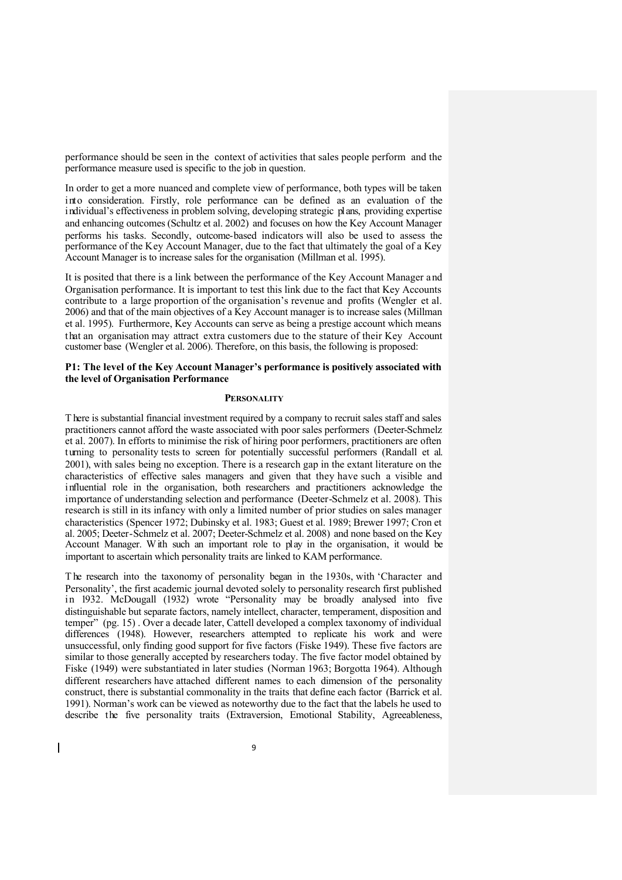performance should be seen in the context of activities that sales people perform and the performance measure used is specific to the job in question.

In order to get a more nuanced and complete view of performance, both types will be taken into consideration. Firstly, role performance can be defined as an evaluation of the individual's effectiveness in problem solving, developing strategic plans, providing expertise and enhancing outcomes (Schultz et al. 2002) and focuses on how the Key Account Manager performs his tasks. Secondly, outcome-based indicators will also be used to assess the performance of the Key Account Manager, due to the fact that ultimately the goal of a Key Account Manager is to increase sales for the organisation (Millman et al. 1995).

It is posited that there is a link between the performance of the Key Account Manager a nd Organisation performance. It is important to test this link due to the fact that Key Accounts contribute to a large proportion of the organisation's revenue and profits (Wengler et al. 2006) and that of the main objectives of a Key Account manager is to increase sales (Millman et al. 1995). Furthermore, Key Accounts can serve as being a prestige account which means that an organisation may attract extra customers due to the stature of their Key Account customer base (Wengler et al. 2006). Therefore, on this basis, the following is proposed:

#### **P1: The level of the Key Account Manager's performance is positively associated with the level of Organisation Performance**

#### **PERSONALITY**

T here is substantial financial investment required by a company to recruit sales staff and sales practitioners cannot afford the waste associated with poor sales performers (Deeter-Schmelz et al. 2007). In efforts to minimise the risk of hiring poor performers, practitioners are often turning to personality tests to screen for potentially successful performers (Randall et al. 2001), with sales being no exception. There is a research gap in the extant literature on the characteristics of effective sales managers and given that they have such a visible and influential role in the organisation, both researchers and practitioners acknowledge the importance of understanding selection and performance (Deeter-Schmelz et al. 2008). This research is still in its infancy with only a limited number of prior studies on sales manager characteristics (Spencer 1972; Dubinsky et al. 1983; Guest et al. 1989; Brewer 1997; Cron et al. 2005; Deeter-Schmelz et al. 2007; Deeter-Schmelz et al. 2008) and none based on the Key Account Manager. With such an important role to play in the organisation, it would be important to ascertain which personality traits are linked to KAM performance.

T he research into the taxonomy of personality began in the 1930s, with 'Character and Personality', the first academic journal devoted solely to personality research first published in 1932. McDougall (1932) wrote "Personality may be broadly analysed into five distinguishable but separate factors, namely intellect, character, temperament, disposition and temper" (pg. 15). Over a decade later, Cattell developed a complex taxonomy of individual differences (1948). However, researchers attempted to replicate his work and were unsuccessful, only finding good support for five factors (Fiske 1949). These five factors are similar to those generally accepted by researchers today. The five factor model obtained by Fiske (1949) were substantiated in later studies (Norman 1963; Borgotta 1964). Although different researchers have attached different names to each dimension of the personality construct, there is substantial commonality in the traits that define each factor (Barrick et al. 1991). Norman's work can be viewed as noteworthy due to the fact that the labels he used to describe the five personality traits (Extraversion, Emotional Stability, Agreeableness,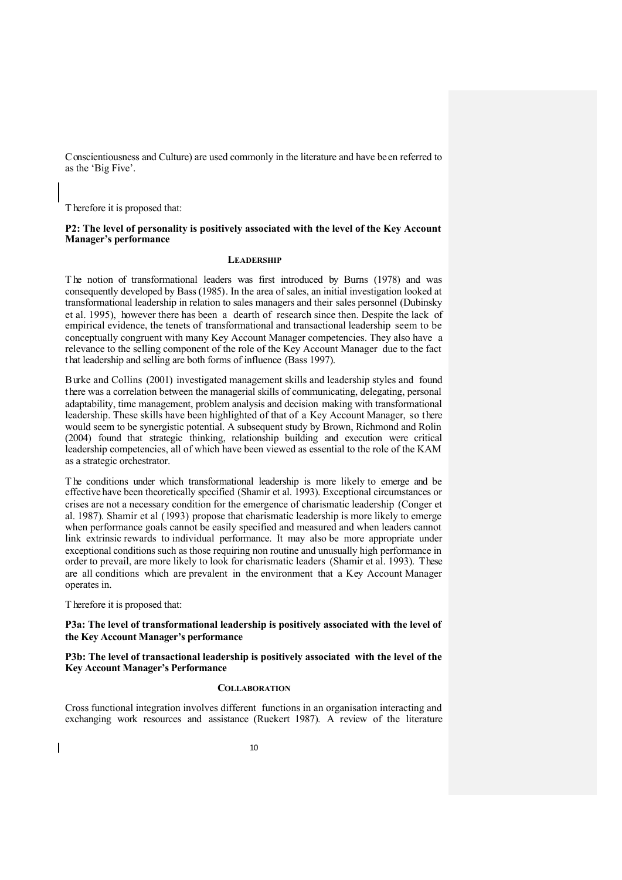Conscientiousness and Culture) are used commonly in the literature and have been referred to as the 'Big Five'.

T herefore it is proposed that:

#### **P2: The level of personality is positively associated with the level of the Key Account Manager's performance**

# **LEADERSHIP**

The notion of transformational leaders was first introduced by Burns (1978) and was consequently developed by Bass (1985). In the area of sales, an initial investigation looked at transformational leadership in relation to sales managers and their sales personnel (Dubinsky et al. 1995), however there has been a dearth of research since then. Despite the lack of empirical evidence, the tenets of transformational and transactional leadership seem to be conceptually congruent with many Key Account Manager competencies. They also have a relevance to the selling component of the role of the Key Account Manager due to the fact that leadership and selling are both forms of influence (Bass 1997).

Burke and Collins (2001) investigated management skills and leadership styles and found there was a correlation between the managerial skills of communicating, delegating, personal adaptability, time management, problem analysis and decision making with transformational leadership. These skills have been highlighted of that of a Key Account Manager, so there would seem to be synergistic potential. A subsequent study by Brown, Richmond and Rolin (2004) found that strategic thinking, relationship building and execution were critical leadership competencies, all of which have been viewed as essential to the role of the KAM as a strategic orchestrator.

T he conditions under which transformational leadership is more likely to emerge and be effective have been theoretically specified (Shamir et al. 1993). Exceptional circumstances or crises are not a necessary condition for the emergence of charismatic leadership (Conger et al. 1987). Shamir et al (1993) propose that charismatic leadership is more likely to emerge when performance goals cannot be easily specified and measured and when leaders cannot link extrinsic rewards to individual performance. It may also be more appropriate under exceptional conditions such as those requiring non routine and unusually high performance in order to prevail, are more likely to look for charismatic leaders (Shamir et al. 1993). These are all conditions which are prevalent in the environment that a Key Account Manager operates in.

T herefore it is proposed that:

#### **P3a: The level of transformational leadership is positively associated with the level of the Key Account Manager's performance**

**P3b: The level of transactional leadership is positively associated with the level of the Key Account Manager's Performance**

#### **COLLABORATION**

Cross functional integration involves different functions in an organisation interacting and exchanging work resources and assistance (Ruekert 1987). A review of the literature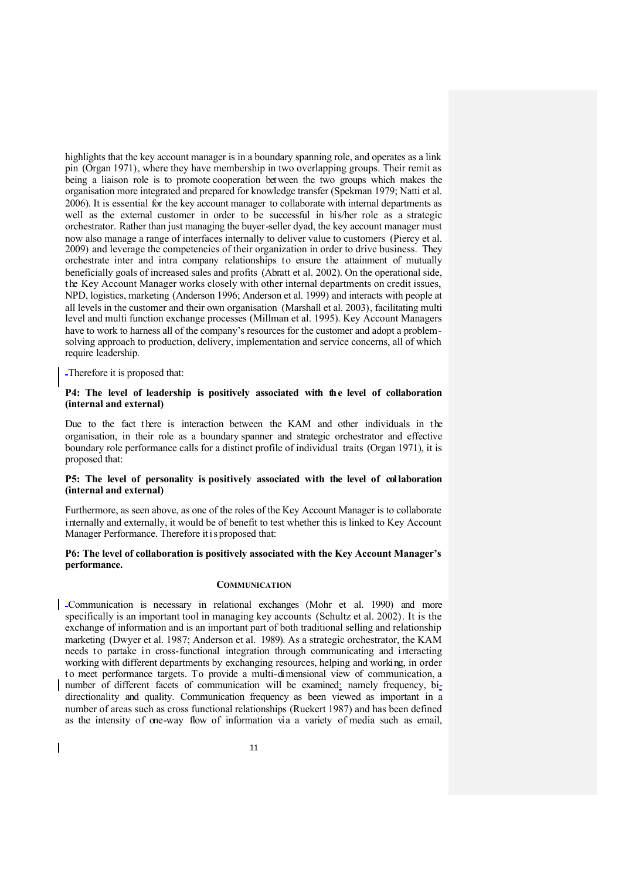highlights that the key account manager is in a boundary spanning role, and operates as a link pin (Organ 1971), where they have membership in two overlapping groups. Their remit as being a liaison role is to promote cooperation between the two groups which makes the organisation more integrated and prepared for knowledge transfer (Spekman 1979; Natti et al. 2006). It is essential for the key account manager to collaborate with internal departments as well as the external customer in order to be successful in his/her role as a strategic orchestrator. Rather than just managing the buyer-seller dyad, the key account manager must now also manage a range of interfaces internally to deliver value to customers (Piercy et al. 2009) and leverage the competencies of their organization in order to drive business. They orchestrate inter and intra company relationships to ensure the attainment of mutually beneficially goals of increased sales and profits (Abratt et al. 2002). On the operational side, the Key Account Manager works closely with other internal departments on credit issues, NPD, logistics, marketing (Anderson 1996; Anderson et al. 1999) and interacts with people at all levels in the customer and their own organisation (Marshall et al. 2003), facilitating multi level and multi function exchange processes (Millman et al. 1995). Key Account Managers have to work to harness all of the company's resources for the customer and adopt a problemsolving approach to production, delivery, implementation and service concerns, all of which require leadership.

Therefore it is proposed that:

 $\mathbf l$ 

#### **P4: The level of leadership is positively associated with the level of collaboration (internal and external)**

Due to the fact there is interaction between the KAM and other individuals in the organisation, in their role as a boundary spanner and strategic orchestrator and effective boundary role performance calls for a distinct profile of individual traits (Organ 1971), it is proposed that:

## **P5: The level of personality is positively associated with the level of collaboration (internal and external)**

Furthermore, as seen above, as one of the roles of the Key Account Manager is to collaborate internally and externally, it would be of benefit to test whether this is linked to Key Account Manager Performance. Therefore it is proposed that:

## **P6: The level of collaboration is positively associated with the Key Account Manager's performance.**

## **COMMUNICATION**

Communication is necessary in relational exchanges (Mohr et al. 1990) and more specifically is an important tool in managing key accounts (Schultz et al. 2002). It is the exchange of information and is an important part of both traditional selling and relationship marketing (Dwyer et al. 1987; Anderson et al. 1989). As a strategic orchestrator, the KAM needs to partake in cross-functional integration through communicating and interacting working with different departments by exchanging resources, helping and working, in order to meet performance targets. To provide a multi-dimensional view of communication, a number of different facets of communication will be examined: namely frequency, bidirectionality and quality. Communication frequency as been viewed as important in a number of areas such as cross functional relationships (Ruekert 1987) and has been defined as the intensity of one-way flow of information via a variety of media such as email,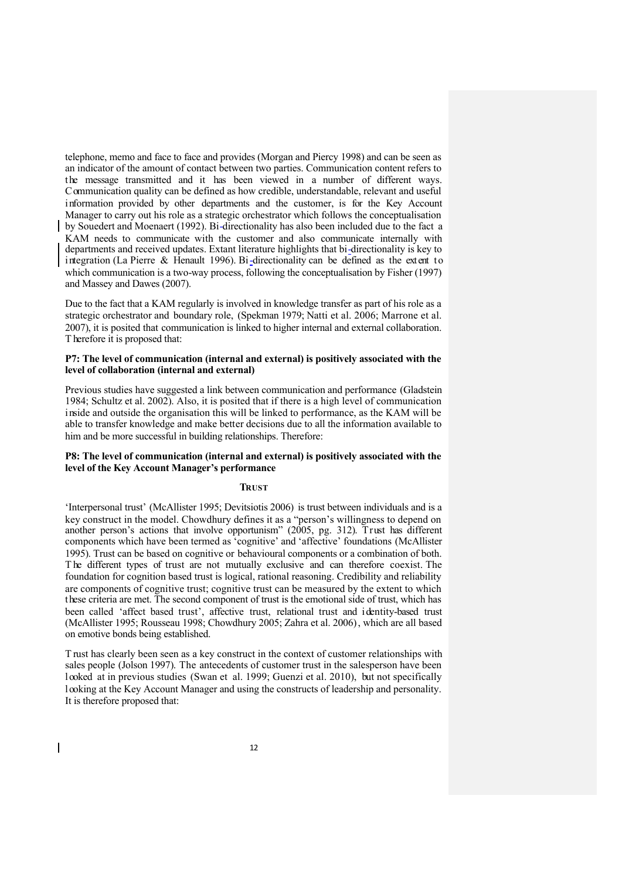telephone, memo and face to face and provides (Morgan and Piercy 1998) and can be seen as an indicator of the amount of contact between two parties. Communication content refers to the message transmitted and it has been viewed in a number of different ways. Communication quality can be defined as how credible, understandable, relevant and useful information provided by other departments and the customer, is for the Key Account Manager to carry out his role as a strategic orchestrator which follows the conceptualisation by Souedert and Moenaert (1992). Bi-directionality has also been included due to the fact a KAM needs to communicate with the customer and also communicate internally with departments and received updates. Extant literature highlights that bi-directionality is key to integration (La Pierre & Henault 1996). Bi-directionality can be defined as the extent to which communication is a two-way process, following the conceptualisation by Fisher (1997) and Massey and Dawes (2007).

Due to the fact that a KAM regularly is involved in knowledge transfer as part of his role as a strategic orchestrator and boundary role, (Spekman 1979; Natti et al. 2006; Marrone et al. 2007), it is posited that communication is linked to higher internal and external collaboration. T herefore it is proposed that:

#### **P7: The level of communication (internal and external) is positively associated with the level of collaboration (internal and external)**

Previous studies have suggested a link between communication and performance (Gladstein 1984; Schultz et al. 2002). Also, it is posited that if there is a high level of communication inside and outside the organisation this will be linked to performance, as the KAM will be able to transfer knowledge and make better decisions due to all the information available to him and be more successful in building relationships. Therefore:

## **P8: The level of communication (internal and external) is positively associated with the level of the Key Account Manager's performance**

# **TRUST**

'Interpersonal trust' (McAllister 1995; Devitsiotis 2006) is trust between individuals and is a key construct in the model. Chowdhury defines it as a "person's willingness to depend on another person's actions that involve opportunism" (2005, pg. 312). Trust has different components which have been termed as 'cognitive' and 'affective' foundations (McAllister 1995). Trust can be based on cognitive or behavioural components or a combination of both. The different types of trust are not mutually exclusive and can therefore coexist. The foundation for cognition based trust is logical, rational reasoning. Credibility and reliability are components of cognitive trust; cognitive trust can be measured by the extent to which these criteria are met. The second component of trust is the emotional side of trust, which has been called 'affect based trust', affective trust, relational trust and identity-based trust (McAllister 1995; Rousseau 1998; Chowdhury 2005; Zahra et al. 2006), which are all based on emotive bonds being established.

T rust has clearly been seen as a key construct in the context of customer relationships with sales people (Jolson 1997). The antecedents of customer trust in the salesperson have been looked at in previous studies (Swan et al. 1999; Guenzi et al. 2010), but not specifically looking at the Key Account Manager and using the constructs of leadership and personality. It is therefore proposed that:

 $\overline{\mathbf{I}}$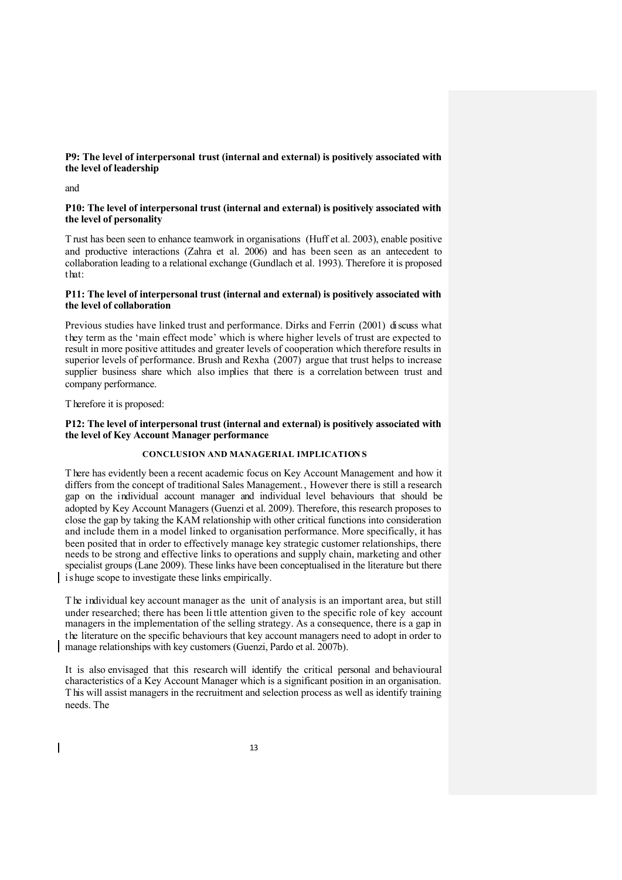# **P9: The level of interpersonal trust (internal and external) is positively associated with the level of leadership**

and

#### **P10: The level of interpersonal trust (internal and external) is positively associated with the level of personality**

T rust has been seen to enhance teamwork in organisations (Huff et al. 2003), enable positive and productive interactions (Zahra et al. 2006) and has been seen as an antecedent to collaboration leading to a relational exchange (Gundlach et al. 1993). Therefore it is proposed that:

## **P11: The level of interpersonal trust (internal and external) is positively associated with the level of collaboration**

Previous studies have linked trust and performance. Dirks and Ferrin (2001) discuss what they term as the 'main effect mode' which is where higher levels of trust are expected to result in more positive attitudes and greater levels of cooperation which therefore results in superior levels of performance. Brush and Rexha (2007) argue that trust helps to increase supplier business share which also implies that there is a correlation between trust and company performance.

T herefore it is proposed:

 $\overline{\mathbf{I}}$ 

## **P12: The level of interpersonal trust (internal and external) is positively associated with the level of Key Account Manager performance**

# **CONCLUSION AND MANAGERIAL IMPLICATION S**

T here has evidently been a recent academic focus on Key Account Management and how it differs from the concept of traditional Sales Management., However there is still a research gap on the individual account manager and individual level behaviours that should be adopted by Key Account Managers (Guenzi et al. 2009). Therefore, this research proposes to close the gap by taking the KAM relationship with other critical functions into consideration and include them in a model linked to organisation performance. More specifically, it has been posited that in order to effectively manage key strategic customer relationships, there needs to be strong and effective links to operations and supply chain, marketing and other specialist groups (Lane 2009). These links have been conceptualised in the literature but there is huge scope to investigate these links empirically.

T he individual key account manager as the unit of analysis is an important area, but still under researched; there has been li ttle attention given to the specific role of key account managers in the implementation of the selling strategy. As a consequence, there is a gap in the literature on the specific behaviours that key account managers need to adopt in order to manage relationships with key customers (Guenzi, Pardo et al. 2007b).

It is also envisaged that this research will identify the critical personal and behavioural characteristics of a Key Account Manager which is a significant position in an organisation. T his will assist managers in the recruitment and selection process as well as identify training needs. The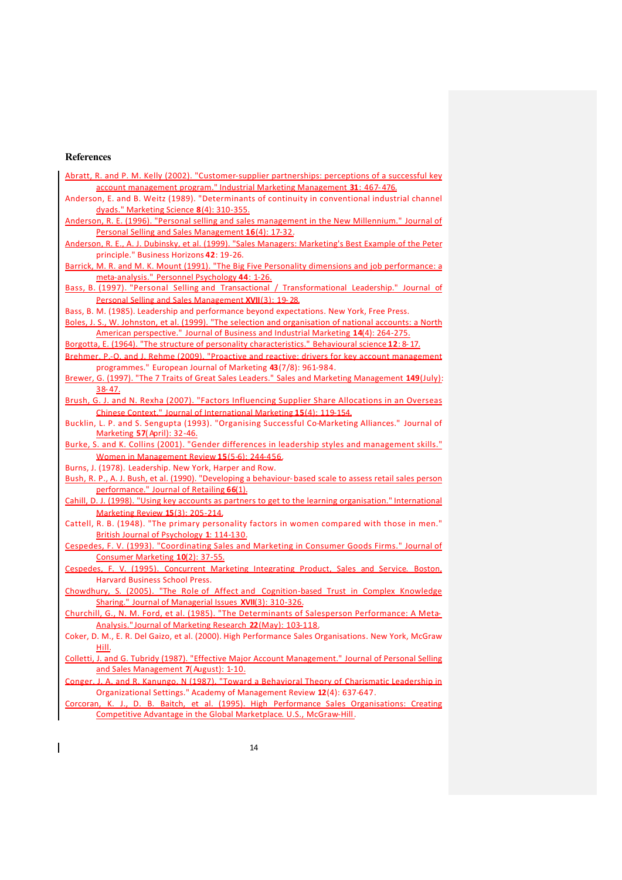# **References**

 $\overline{1}$ 

| Abratt, R. and P. M. Kelly (2002). "Customer-supplier partnerships: perceptions of a successful key       |
|-----------------------------------------------------------------------------------------------------------|
| account management program." Industrial Marketing Management 31: 467-476.                                 |
| Anderson, E. and B. Weitz (1989). "Determinants of continuity in conventional industrial channel          |
| dyads." Marketing Science 8(4): 310-355.                                                                  |
| Anderson, R. E. (1996). "Personal selling and sales management in the New Millennium." Journal of         |
| Personal Selling and Sales Management 16(4): 17-32.                                                       |
| Anderson, R. E., A. J. Dubinsky, et al. (1999). "Sales Managers: Marketing's Best Example of the Peter    |
| principle." Business Horizons 42: 19-26.                                                                  |
| Barrick, M. R. and M. K. Mount (1991). "The Big Five Personality dimensions and job performance: a        |
| meta-analysis." Personnel Psychology 44: 1-26.                                                            |
| Bass, B. (1997). "Personal Selling and Transactional / Transformational Leadership." Journal of           |
| Personal Selling and Sales Management XVII(3): 19-28.                                                     |
| Bass, B. M. (1985). Leadership and performance beyond expectations. New York, Free Press.                 |
| Boles, J. S., W. Johnston, et al. (1999). "The selection and organisation of national accounts: a North   |
| American perspective." Journal of Business and Industrial Marketing 14(4): 264-275.                       |
| Borgotta, E. (1964). "The structure of personality characteristics." Behavioural science 12: 8-17.        |
| Brehmer, P.-O. and J. Rehme (2009). "Proactive and reactive: drivers for key account management           |
| programmes." European Journal of Marketing 43(7/8): 961-984.                                              |
| Brewer, G. (1997). "The 7 Traits of Great Sales Leaders." Sales and Marketing Management 149 (July):      |
| 38-47.                                                                                                    |
| Brush, G. J. and N. Rexha (2007). "Factors Influencing Supplier Share Allocations in an Overseas          |
| Chinese Context." Journal of International Marketing 15(4): 119-154.                                      |
| Bucklin, L. P. and S. Sengupta (1993). "Organising Successful Co-Marketing Alliances." Journal of         |
| Marketing 57(April): 32-46.                                                                               |
| Burke, S. and K. Collins (2001). "Gender differences in leadership styles and management skills."         |
| Women in Management Review 15(5-6): 244-456.                                                              |
| Burns, J. (1978). Leadership. New York, Harper and Row.                                                   |
| Bush, R. P., A. J. Bush, et al. (1990). "Developing a behaviour-based scale to assess retail sales person |
| performance." Journal of Retailing 66(1).                                                                 |
| Cahill, D. J. (1998). "Using key accounts as partners to get to the learning organisation." International |
| Marketing Review 15(3): 205-214.                                                                          |
| Cattell, R. B. (1948). "The primary personality factors in women compared with those in men."             |
| British Journal of Psychology 1: 114-130.                                                                 |
| Cespedes, F. V. (1993). "Coordinating Sales and Marketing in Consumer Goods Firms." Journal of            |
| Consumer Marketing 10(2): 37-55.                                                                          |
| Cespedes, F. V. (1995). Concurrent Marketing Integrating Product. Sales and Service. Boston.              |
| <b>Harvard Business School Press.</b>                                                                     |
| Chowdhury, S. (2005). "The Role of Affect and Cognition-based Trust in Complex Knowledge                  |
| Sharing." Journal of Managerial Issues XVII(3): 310-326.                                                  |
| Churchill, G., N. M. Ford, et al. (1985). "The Determinants of Salesperson Performance: A Meta-           |
| Analysis." Journal of Marketing Research 22 (May): 103-118.                                               |
| Coker, D. M., E. R. Del Gaizo, et al. (2000). High Performance Sales Organisations. New York, McGraw      |
| Hill.                                                                                                     |
| Colletti, J. and G. Tubridy (1987). "Effective Major Account Management." Journal of Personal Selling     |
| and Sales Management 7(August): 1-10.                                                                     |
| Conger, J. A. and R. Kanungo, N (1987). "Toward a Behavioral Theory of Charismatic Leadership in          |
| Organizational Settings." Academy of Management Review 12(4): 637-647.                                    |
| Corcoran, K. J., D. B. Baitch, et al. (1995). High Performance Sales Organisations: Creating              |

Competitive Advantage in the Global Marketplace. U.S., McGraw-Hill.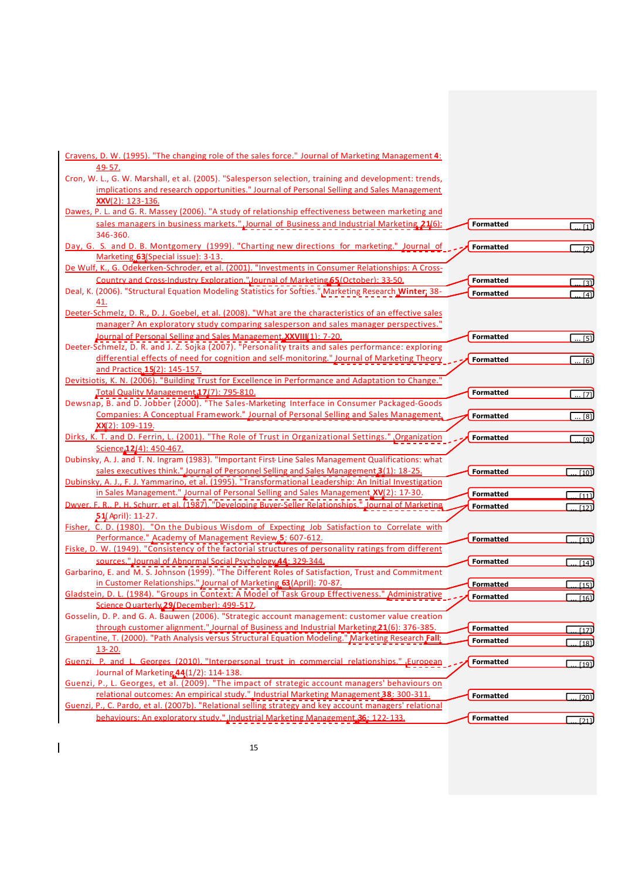| Cravens, D. W. (1995). "The changing role of the sales force." Journal of Marketing Management 4:                                                                                                   |                  |                   |
|-----------------------------------------------------------------------------------------------------------------------------------------------------------------------------------------------------|------------------|-------------------|
| 49-57.                                                                                                                                                                                              |                  |                   |
| Cron, W. L., G. W. Marshall, et al. (2005). "Salesperson selection, training and development: trends,<br>implications and research opportunities." Journal of Personal Selling and Sales Management |                  |                   |
| XXV(2): 123-136.                                                                                                                                                                                    |                  |                   |
| Dawes, P. L. and G. R. Massey (2006). "A study of relationship effectiveness between marketing and                                                                                                  |                  |                   |
| sales managers in business markets." Journal of Business and Industrial Marketing 21(6):                                                                                                            | <b>Formatted</b> |                   |
| 346-360.                                                                                                                                                                                            |                  | $\overline{111}$  |
| Day, G. S. and D. B. Montgomery (1999). "Charting new directions for marketing." Journal of                                                                                                         | <b>Formatted</b> | $\overline{121}$  |
| Marketing 63 (Special issue): 3-13.                                                                                                                                                                 |                  |                   |
| De Wulf, K., G. Odekerken-Schroder, et al. (2001). "Investments in Consumer Relationships: A Cross-                                                                                                 |                  |                   |
| Country and Cross-Industry Exploration."Journal of Marketing 65 (October): 33-50.                                                                                                                   | <b>Formatted</b> | $\overline{131}$  |
| Deal, K. (2006). "Structural Equation Modeling Statistics for Softies." Marketing Research Winter; 38-                                                                                              | <b>Formatted</b> | $\overline{141}$  |
| 41.                                                                                                                                                                                                 |                  |                   |
| Deeter-Schmelz, D. R., D. J. Goebel, et al. (2008). "What are the characteristics of an effective sales                                                                                             |                  |                   |
| manager? An exploratory study comparing salesperson and sales manager perspectives."                                                                                                                |                  |                   |
| Journal of Personal Selling and Sales Management. XXVIII(1): 7-20.                                                                                                                                  | <b>Formatted</b> | $\overline{51}$   |
| Deeter-Schmelz, D. R. and J. Z. Sojka (2007). "Personality traits and sales performance: exploring                                                                                                  |                  |                   |
| differential effects of need for cognition and self-monitoring." Journal of Marketing Theory                                                                                                        | <b>Formatted</b> | $$ [6]            |
| and Practice 15(2): 145-157.<br>Devitsiotis, K. N. (2006). "Building Trust for Excellence in Performance and Adaptation to Change."                                                                 |                  |                   |
|                                                                                                                                                                                                     | <b>Formatted</b> |                   |
| Total Quality Management 17(7): 795-810.<br>Dewsnap, B. and D. Jobber (2000). "The Sales-Marketing Interface in Consumer Packaged-Goods                                                             |                  | $\overline{}$ [7] |
| Companies: A Conceptual Framework." Journal of Personal Selling and Sales Management,                                                                                                               | <b>Formatted</b> | $\ldots$ [8]      |
| XX(2): 109-119.                                                                                                                                                                                     |                  |                   |
| Dirks, K. T. and D. Ferrin, L. (2001). "The Role of Trust in Organizational Settings." Organization                                                                                                 | <b>Formatted</b> |                   |
| Science 12(4): 450-467.                                                                                                                                                                             |                  |                   |
| Dubinsky, A. J. and T. N. Ingram (1983). "Important First-Line Sales Management Qualifications: what                                                                                                |                  |                   |
| sales executives think." Journal of Personnel Selling and Sales Management.3(1): 18-25.                                                                                                             | <b>Formatted</b> | $\sqrt{101}$      |
| Dubinsky, A. J., F. J. Yammarino, et al. (1995). "Transformational Leadership: An Initial Investigation                                                                                             |                  |                   |
| in Sales Management." Journal of Personal Selling and Sales Management XV(2): 17-30.                                                                                                                | <b>Formatted</b> | [11]              |
| Dwyer, F. R., P. H. Schurr, et al. (1987). "Developing Buyer-Seller Relationships." Journal of Marketing                                                                                            | <b>Formatted</b> | 1121              |
| $51$ (April): 11-27.                                                                                                                                                                                |                  |                   |
| Fisher, C. D. (1980). "On the Dubious Wisdom of Expecting Job Satisfaction to Correlate with                                                                                                        |                  |                   |
| Performance." Academy of Management Review, 5: 607-612.<br>Fiske, D. W. (1949). "Consistency of the factorial structures of personality ratings from different                                      | <b>Formatted</b> | $\overline{1131}$ |
| sources." Journal of Abnormal Social Psychology 44: 329-344.                                                                                                                                        | <b>Formatted</b> |                   |
| Garbarino, E. and M. S. Johnson (1999). "The Different Roles of Satisfaction, Trust and Commitment                                                                                                  |                  | $\overline{[14]}$ |
| in Customer Relationships." Journal of Marketing 63 (April): 70-87.                                                                                                                                 | <b>Formatted</b> | [15]              |
| Gladstein, D. L. (1984). "Groups in Context: A Model of Task Group Effectiveness." Administrative                                                                                                   | <b>Formatted</b> | $\frac{161}{2}$   |
| Science Quarterly 29 (December): 499-517.                                                                                                                                                           |                  |                   |
| Gosselin, D. P. and G. A. Bauwen (2006). "Strategic account management: customer value creation                                                                                                     |                  |                   |
| through customer alignment." Journal of Business and Industrial Marketing 21(6): 376-385.                                                                                                           | <b>Formatted</b> | $\overline{[17]}$ |
| Grapentine, T. (2000). "Path Analysis versus Structural Equation Modeling." Marketing Research Fall;                                                                                                | <b>Formatted</b> | $\overline{1181}$ |
| 13-20.                                                                                                                                                                                              |                  |                   |
| Guenzi, P. and L. Georges (2010). "Interpersonal trust in commercial relationships." European                                                                                                       | <b>Formatted</b> | $\overline{1191}$ |
| Journal of Marketing 44(1/2): 114-138.                                                                                                                                                              |                  |                   |
| Guenzi, P., L. Georges, et al. (2009). "The impact of strategic account managers' behaviours on                                                                                                     |                  |                   |
| relational outcomes: An empirical study." Industrial Marketing Management 38: 300-311.<br>Guenzi, P., C. Pardo, et al. (2007b). "Relational selling strategy and key account managers' relational   | <b>Formatted</b> | $\overline{[20]}$ |
|                                                                                                                                                                                                     |                  |                   |
| behaviours: An exploratory study." Industrial Marketing Management 36: 122-133.                                                                                                                     | <b>Formatted</b> | 1211              |

 $\overline{\phantom{a}}$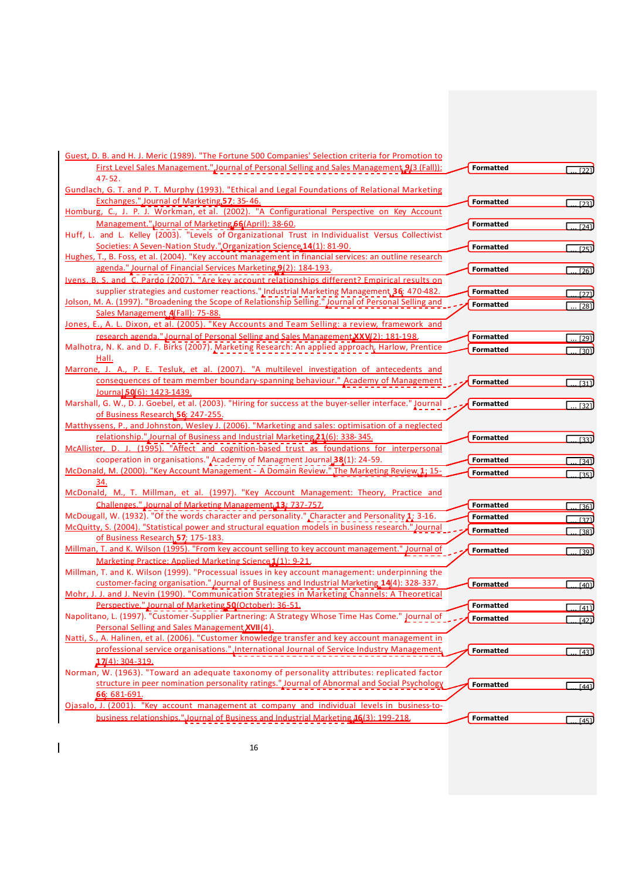| Guest, D. B. and H. J. Meric (1989). "The Fortune 500 Companies' Selection criteria for Promotion to                                                                                            |                  |                   |
|-------------------------------------------------------------------------------------------------------------------------------------------------------------------------------------------------|------------------|-------------------|
| First Level Sales Management." Journal of Personal Selling and Sales Management 9(3 (Fall)):<br>$47 - 52$ .                                                                                     | <b>Formatted</b> | 1221              |
| Gundlach, G. T. and P. T. Murphy (1993). "Ethical and Legal Foundations of Relational Marketing                                                                                                 |                  |                   |
| Exchanges." Journal of Marketing, 57: 35-46.                                                                                                                                                    | <b>Formatted</b> | $\overline{1231}$ |
| Homburg, C., J. P. J. Workman, et al. (2002). "A Configurational Perspective on Key Account                                                                                                     |                  |                   |
| Management." Journal of Marketing 66 (April): 38-60.                                                                                                                                            | <b>Formatted</b> | $\overline{[24]}$ |
| Huff, L. and L. Kelley (2003). "Levels of Organizational Trust in Individualist Versus Collectivist                                                                                             |                  |                   |
| Societies: A Seven-Nation Study." Organization Science 14(1): 81-90.                                                                                                                            | <b>Formatted</b> | $\overline{[25]}$ |
| Hughes, T., B. Foss, et al. (2004). "Key account management in financial services: an outline research                                                                                          |                  |                   |
| agenda." Journal of Financial Services Marketing 9(2): 184-193.                                                                                                                                 | <b>Formatted</b> | $\overline{1261}$ |
| Ivens. B. S. and C. Pardo (2007). "Are key account relationships different? Empirical results on                                                                                                |                  |                   |
| supplier strategies and customer reactions." Industrial Marketing Management 36: 470-482.                                                                                                       | <b>Formatted</b> | $[27]$            |
| Jolson, M. A. (1997). "Broadening the Scope of Relationship Selling." Journal of Personal Selling and                                                                                           | <b>Formatted</b> | [28]              |
| Sales Management A(Fall): 75-88.                                                                                                                                                                |                  |                   |
| Jones, E., A. L. Dixon, et al. (2005). "Key Accounts and Team Selling: a review, framework and                                                                                                  |                  |                   |
| research agenda." Journal of Personal Selling and Sales Management XXV(2): 181-198.                                                                                                             | <b>Formatted</b> | $\boxed{29}$      |
| Malhotra, N. K. and D. F. Birks (2007). Marketing Research: An applied approach. Harlow, Prentice                                                                                               | <b>Formatted</b> | $\overline{[30]}$ |
| Hall.                                                                                                                                                                                           |                  |                   |
| Marrone, J. A., P. E. Tesluk, et al. (2007). "A multilevel investigation of antecedents and                                                                                                     |                  |                   |
| consequences of team member boundary-spanning behaviour." Academy of Management                                                                                                                 | <b>Formatted</b> | $\overline{1311}$ |
| Journal 50(6): 1423-1439.                                                                                                                                                                       |                  |                   |
| Marshall, G. W., D. J. Goebel, et al. (2003). "Hiring for success at the buyer-seller interface." Journal                                                                                       | <b>Formatted</b> | $\sqrt{321}$      |
| of Business Research 56: 247-255.<br>Matthyssens, P., and Johnston, Wesley J. (2006). "Marketing and sales: optimisation of a neglected                                                         |                  |                   |
| relationship." Journal of Business and Industrial Marketing 21(6): 338-345.                                                                                                                     | <b>Formatted</b> |                   |
| McAllister, D. J. (1995). "Affect and cognition-based trust as foundations for interpersonal                                                                                                    |                  | $\overline{1331}$ |
| cooperation in organisations." Academy of Managment Journal 38(1): 24-59.                                                                                                                       | <b>Formatted</b> |                   |
| McDonald, M. (2000). "Key Account Management - A Domain Review." The Marketing Review, 1; 15-                                                                                                   | <b>Formatted</b> | [34]              |
| 34.                                                                                                                                                                                             |                  | [35]              |
| McDonald, M., T. Millman, et al. (1997). "Key Account Management: Theory, Practice and                                                                                                          |                  |                   |
| Challenges." Journal of Marketing Management 13; 737-757.                                                                                                                                       | <b>Formatted</b> | [36]              |
| McDougall, W. (1932). "Of the words character and personality." Character and Personality 1: 3-16.                                                                                              | <b>Formatted</b> | [37]              |
| McQuitty, S. (2004). "Statistical power and structural equation models in business research." Journal                                                                                           | <b>Formatted</b> | $\overline{1381}$ |
| of Business Research 57; 175-183.                                                                                                                                                               |                  |                   |
| Millman, T. and K. Wilson (1995). "From key account selling to key account management." Journal of                                                                                              | <b>Formatted</b> | [39]              |
| Marketing Practice: Applied Marketing Science 1(1): 9-21.                                                                                                                                       |                  |                   |
| Millman, T. and K. Wilson (1999). "Processual issues in key account management: underpinning the                                                                                                |                  |                   |
| customer-facing organisation." Journal of Business and Industrial Marketing 14(4): 328-337.                                                                                                     | <b>Formatted</b> | [40]              |
| Mohr, J. J. and J. Nevin (1990). "Communication Strategies in Marketing Channels: A Theoretical                                                                                                 |                  |                   |
| Perspective." Journal of Marketing 50 (October): 36-51.                                                                                                                                         | Formatted        | <u> [41</u> ]     |
| Napolitano, L. (1997). "Customer-Supplier Partnering: A Strategy Whose Time Has Come." Journal of                                                                                               | <b>Formatted</b> | [42]              |
| Personal Selling and Sales Management XVII(4).                                                                                                                                                  |                  |                   |
| Natti, S., A. Halinen, et al. (2006). "Customer knowledge transfer and key account management in<br>professional service organisations.", International Journal of Service Industry Management, |                  |                   |
|                                                                                                                                                                                                 | <b>Formatted</b> | $\overline{[43]}$ |
| $17(4): 304 - 319.$<br>Norman, W. (1963). "Toward an adequate taxonomy of personality attributes: replicated factor                                                                             |                  |                   |
| structure in peer nomination personality ratings." Journal of Abnormal and Social Psychology                                                                                                    |                  |                   |
| 66: 681-691.                                                                                                                                                                                    | <b>Formatted</b> | $\overline{[44]}$ |
| Ojasalo, J. (2001). "Key account management at company and individual levels in business-to-                                                                                                    |                  |                   |
| business relationships."Journal of Business and Industrial Marketing 16(3): 199-218.                                                                                                            | <b>Formatted</b> |                   |
|                                                                                                                                                                                                 |                  | $\overline{[45]}$ |

 $\overline{\phantom{a}}$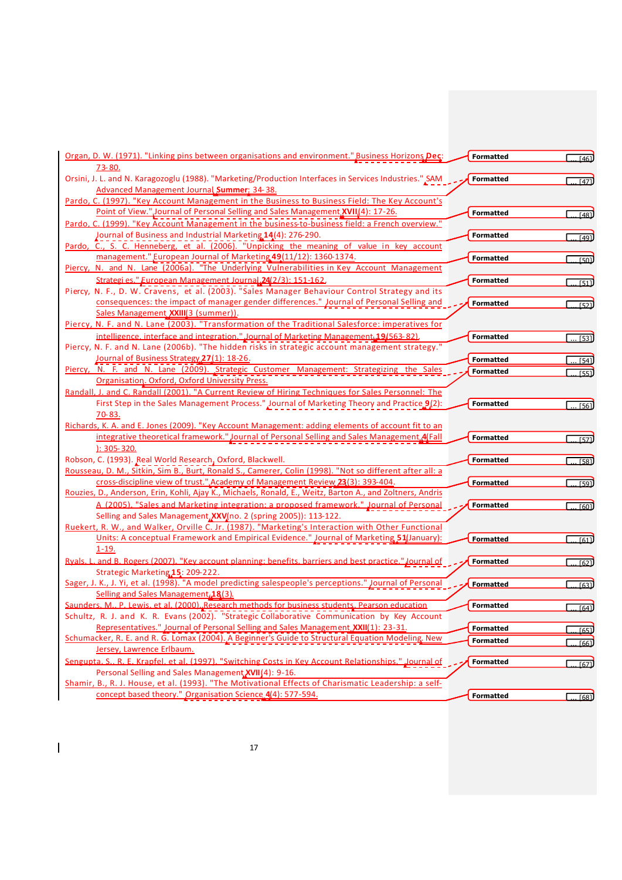| Organ, D. W. (1971). "Linking pins between organisations and environment." Business Horizons Dec:                                                                                                | <b>Formatted</b> | [46]              |
|--------------------------------------------------------------------------------------------------------------------------------------------------------------------------------------------------|------------------|-------------------|
| <u>73-80.</u>                                                                                                                                                                                    |                  |                   |
| Orsini, J. L. and N. Karagozoglu (1988). "Marketing/Production Interfaces in Services Industries." SAM                                                                                           | <b>Formatted</b> | [47]              |
| Advanced Management Journal Summer; 34-38.                                                                                                                                                       |                  |                   |
| Pardo, C. (1997). "Key Account Management in the Business to Business Field: The Key Account's                                                                                                   |                  |                   |
| Point of View."Journal of Personal Selling and Sales Management XVII(4): 17-26.                                                                                                                  | <b>Formatted</b> | [48]              |
| Pardo, C. (1999). "Key Account Management in the business-to-business field: a French overview."                                                                                                 |                  |                   |
| Journal of Business and Industrial Marketing 14(4): 276-290.                                                                                                                                     | <b>Formatted</b> | $\overline{[49]}$ |
| Pardo, C., S. C. Henneberg, et al. (2006). "Unpicking the meaning of value in key account                                                                                                        |                  |                   |
| management." European Journal of Marketing 49(11/12): 1360-1374.                                                                                                                                 | <b>Formatted</b> | 1501              |
| Piercy, N. and N. Lane (2006a). "The Underlying Vulnerabilities in Key Account Management                                                                                                        |                  |                   |
| Strategi es." European Management Journal 24(2/3): 151-162.                                                                                                                                      | <b>Formatted</b> | $\overline{1511}$ |
| Piercy, N. F., D. W. Cravens, et al. (2003). "Sales Manager Behaviour Control Strategy and its                                                                                                   |                  |                   |
| consequences: the impact of manager gender differences." Journal of Personal Selling and                                                                                                         | <b>Formatted</b> | [52]              |
| Sales Management XXIII(3 (summer)).                                                                                                                                                              |                  |                   |
| Piercy, N. F. and N. Lane (2003). "Transformation of the Traditional Salesforce: imperatives for                                                                                                 |                  |                   |
| intelligence, interface and integration." Journal of Marketing Management 19/563-82).                                                                                                            | <b>Formatted</b> | . [53]            |
| Piercy, N. F. and N. Lane (2006b). "The hidden risks in strategic account management strategy."                                                                                                  |                  |                   |
| Journal of Business Strategy 27(1): 18-26.                                                                                                                                                       | <b>Formatted</b> | [54]              |
| Piercy, N. F. and N. Lane (2009). Strategic Customer Management: Strategizing the Sales                                                                                                          | <b>Formatted</b> | [55]              |
| Organisation. Oxford, Oxford University Press.                                                                                                                                                   |                  |                   |
| Randall, J. and C. Randall (2001). "A Current Review of Hiring Techniques for Sales Personnel: The                                                                                               |                  |                   |
| First Step in the Sales Management Process." Journal of Marketing Theory and Practice 9(2):                                                                                                      | <b>Formatted</b> | $$ [56]           |
| 70-83.                                                                                                                                                                                           |                  |                   |
| Richards, K. A. and E. Jones (2009). "Key Account Management: adding elements of account fit to an                                                                                               |                  |                   |
| integrative theoretical framework." Journal of Personal Selling and Sales Management 4 Fall                                                                                                      | <b>Formatted</b> | $\overline{571}$  |
| $1: 305 - 320.$                                                                                                                                                                                  |                  |                   |
| Robson, C. (1993). Real World Research, Oxford, Blackwell.                                                                                                                                       | <b>Formatted</b> | $\overline{[58]}$ |
| Rousseau, D. M., Sitkin, Sim B., Burt, Ronald S., Camerer, Colin (1998). "Not so different after all: a                                                                                          |                  |                   |
| cross-discipline view of trust.", Academy of Management Review, 23(3): 393-404.                                                                                                                  | <b>Formatted</b> | $\overline{591}$  |
| Rouzies, D., Anderson, Erin, Kohli, Ajay K., Michaels, Ronald, E., Weitz, Barton A., and Zoltners, Andris                                                                                        |                  |                   |
| A (2005). "Sales and Marketing integration: a proposed framework." Journal of Personal                                                                                                           | <b>Formatted</b> | f601              |
| Selling and Sales Management, XXV (no. 2 (spring 2005)): 113-122.                                                                                                                                |                  |                   |
| Ruekert, R. W., and Walker, Orville C. Jr. (1987). "Marketing's Interaction with Other Functional                                                                                                |                  |                   |
| Units: A conceptual Framework and Empirical Evidence." Journal of Marketing 51(January):                                                                                                         | <b>Formatted</b> | $\overline{611}$  |
| $1 - 19.$                                                                                                                                                                                        |                  |                   |
| Ryals. L. and B. Rogers (2007). "Key account planning: benefits. barriers and best practice." Journal of                                                                                         | <b>Formatted</b> | [62]              |
| Strategic Marketing <sub>15</sub> : 209-222.                                                                                                                                                     |                  |                   |
| Sager, J. K., J. Yi, et al. (1998). "A model predicting salespeople's perceptions." Journal of Personal                                                                                          | <b>Formatted</b> | [63]              |
| Selling and Sales Management <sub>4</sub> 18(3).                                                                                                                                                 | Formatted        |                   |
| Saunders, M., P. Lewis, et al. (2000). Research methods for business students. Pearson education<br>Schultz, R. J. and K. R. Evans (2002). "Strategic Collaborative Communication by Key Account |                  | [64]              |
| Representatives." Journal of Personal Selling and Sales Management XXII(1): 23-31.                                                                                                               |                  |                   |
| Schumacker, R. E. and R. G. Lomax (2004). A Beginner's Guide to Structural Equation Modeling. New                                                                                                | <b>Formatted</b> | [65]              |
| Jersey, Lawrence Erlbaum.                                                                                                                                                                        | <b>Formatted</b> | [66]              |
| Sengupta, S., R. E. Krapfel, et al. (1997). "Switching Costs in Key Account Relationships." Journal of                                                                                           | <b>Formatted</b> |                   |
| Personal Selling and Sales Management XVII(4): 9-16.                                                                                                                                             |                  | $\overline{671}$  |
| Shamir, B., R. J. House, et al. (1993). "The Motivational Effects of Charismatic Leadership: a self-                                                                                             |                  |                   |
| concept based theory." Organisation Science 4(4): 577-594.                                                                                                                                       | <b>Formatted</b> |                   |
|                                                                                                                                                                                                  |                  | [68]              |

 $\overline{1}$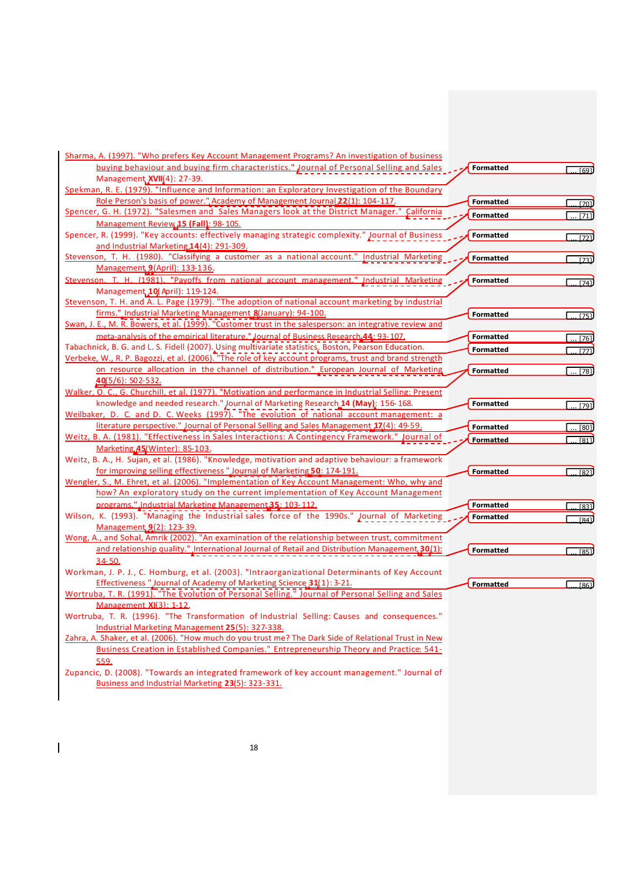| Sharma, A. (1997). "Who prefers Key Account Management Programs? An investigation of business<br>buying behaviour and buying firm characteristics." Journal of Personal Selling and Sales | <b>Formatted</b> |                  |
|-------------------------------------------------------------------------------------------------------------------------------------------------------------------------------------------|------------------|------------------|
| Management XVII(4): 27-39.                                                                                                                                                                |                  | [69]             |
| Spekman, R. E. (1979). "Influence and Information: an Exploratory Investigation of the Boundary                                                                                           |                  |                  |
| Role Person's basis of power." Academy of Management Journal 22(1): 104-117.                                                                                                              | <b>Formatted</b> |                  |
| Spencer, G. H. (1972). "Salesmen and Sales Managers look at the District Manager." California                                                                                             |                  | 170              |
| Management Review 15 (Fall): 98-105.                                                                                                                                                      | <b>Formatted</b> | $\overline{711}$ |
| Spencer, R. (1999). "Key accounts: effectively managing strategic complexity." Journal of Business                                                                                        | <b>Formatted</b> | 1721             |
| and Industrial Marketing 14(4): 291-309.                                                                                                                                                  |                  |                  |
| Stevenson, T. H. (1980). "Classifying a customer as a national account." Industrial Marketing                                                                                             | <b>Formatted</b> | [73]             |
| Management 9(April): 133-136.                                                                                                                                                             |                  |                  |
| Stevenson, T. H. (1981). "Pavoffs from national account management." Industrial Marketing                                                                                                 | <b>Formatted</b> | 174              |
| Management 10 (April): 119-124.                                                                                                                                                           |                  |                  |
| Stevenson, T. H. and A. L. Page (1979). "The adoption of national account marketing by industrial                                                                                         |                  |                  |
| firms.", Industrial Marketing Management & (January): 94-100.                                                                                                                             | <b>Formatted</b> | . [75]           |
| Swan, J. E., M. R. Bowers, et al. (1999). "Customer trust in the salesperson: an integrative review and                                                                                   |                  |                  |
| meta-analysis of the empirical literature." Journal of Business Research 44: 93-107.                                                                                                      | <b>Formatted</b> | [76]]            |
| Tabachnick, B. G. and L. S. Fidell (2007). Using multivariate statistics. Boston, Pearson Education.                                                                                      | <b>Formatted</b> | [77]             |
| Verbeke, W., R. P. Bagozzi, et al. (2006). "The role of key account programs, trust and brand strength                                                                                    |                  |                  |
| on resource allocation in the channel of distribution." European Journal of Marketing                                                                                                     | <b>Formatted</b> | $\dots$ [78]     |
| <u>40(5/6): 502-532.</u>                                                                                                                                                                  |                  |                  |
| Walker, O. C., G. Churchill, et al. (1977). "Motivation and performance in Industrial Selling: Present                                                                                    |                  |                  |
| knowledge and needed research." Journal of Marketing Research 14 (May): 156-168.                                                                                                          | <b>Formatted</b> | [79]             |
| Weilbaker, D. C. and D. C. Weeks (1997). "The evolution of national account management: a                                                                                                 |                  |                  |
| literature perspective." Journal of Personal Selling and Sales Management 17(4): 49-59.                                                                                                   | <b>Formatted</b> | 1801             |
| Weitz, B. A. (1981). "Effectiveness in Sales Interactions: A Contingency Framework." Journal of                                                                                           | <b>Formatted</b> | [81]             |
| Marketing 45 (Winter): 85-103.                                                                                                                                                            |                  |                  |
| Weitz, B. A., H. Sujan, et al. (1986). "Knowledge, motivation and adaptive behaviour: a framework                                                                                         |                  |                  |
| for improving selling effectiveness "Journal of Marketing 50: 174-191.                                                                                                                    | <b>Formatted</b> | [82]             |
| Wengler, S., M. Ehret, et al. (2006). "Implementation of Key Account Management: Who, why and                                                                                             |                  |                  |
| how? An exploratory study on the current implementation of Key Account Management                                                                                                         |                  |                  |
| programs." Industrial Marketing Management 35: 103-112.                                                                                                                                   | <b>Formatted</b> | $\boxed{83}$     |
| Wilson, K. (1993). "Managing the Industrial sales force of the 1990s." Journal of Marketing                                                                                               | <b>Formatted</b> | [84]             |
| Management 9(2): 123-39.                                                                                                                                                                  |                  |                  |
| Wong, A., and Sohal, Amrik (2002). "An examination of the relationship between trust, commitment                                                                                          |                  |                  |
| and relationship quality." International Journal of Retail and Distribution Management 30(1):                                                                                             | <b>Formatted</b> | 1851             |
| $34 - 50.$                                                                                                                                                                                |                  |                  |
| Workman, J. P. J., C. Homburg, et al. (2003). "Intraorganizational Determinants of Key Account                                                                                            |                  |                  |
| Effectiveness "Journal of Academy of Marketing Science 31(1): 3-21.                                                                                                                       | <b>Formatted</b> | [86]             |
| Wortruba, T. R. (1991). "The Evolution of Personal Selling." Journal of Personal Selling and Sales                                                                                        |                  |                  |
| Management XI(3): 1-12.                                                                                                                                                                   |                  |                  |
| Wortruba, T. R. (1996). "The Transformation of Industrial Selling: Causes and consequences."                                                                                              |                  |                  |
| Industrial Marketing Management 25(5): 327-338.                                                                                                                                           |                  |                  |
| Zahra, A. Shaker, et al. (2006). "How much do you trust me? The Dark Side of Relational Trust in New                                                                                      |                  |                  |
| Business Creation in Established Companies." Entrepreneurship Theory and Practice: 541-                                                                                                   |                  |                  |
| 559.                                                                                                                                                                                      |                  |                  |
| Zupancic, D. (2008). "Towards an integrated framework of key account management." Journal of<br>Business and Industrial Marketing 23(5): 323-331.                                         |                  |                  |

 $\overline{1}$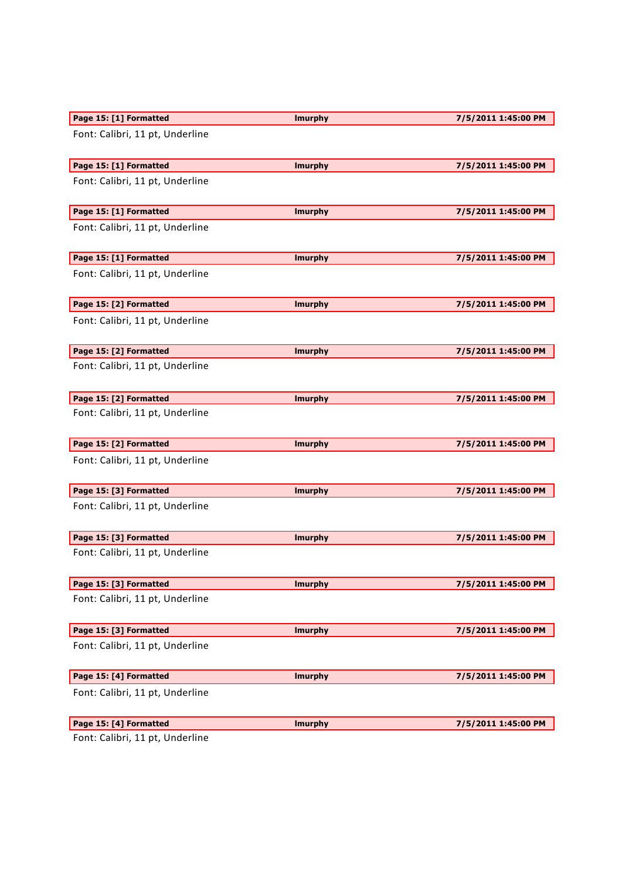| Page 15: [1] Formatted          | <b>Imurphy</b> | 7/5/2011 1:45:00 PM |
|---------------------------------|----------------|---------------------|
| Font: Calibri, 11 pt, Underline |                |                     |
| Page 15: [1] Formatted          | <b>Imurphy</b> | 7/5/2011 1:45:00 PM |
| Font: Calibri, 11 pt, Underline |                |                     |
| Page 15: [1] Formatted          | <b>Imurphy</b> | 7/5/2011 1:45:00 PM |
| Font: Calibri, 11 pt, Underline |                |                     |
| Page 15: [1] Formatted          | <b>Imurphy</b> | 7/5/2011 1:45:00 PM |
| Font: Calibri, 11 pt, Underline |                |                     |
| Page 15: [2] Formatted          | <b>Imurphy</b> | 7/5/2011 1:45:00 PM |
| Font: Calibri, 11 pt, Underline |                |                     |
| Page 15: [2] Formatted          | <b>Imurphy</b> | 7/5/2011 1:45:00 PM |
| Font: Calibri, 11 pt, Underline |                |                     |
| Page 15: [2] Formatted          | <b>Imurphy</b> | 7/5/2011 1:45:00 PM |
| Font: Calibri, 11 pt, Underline |                |                     |
| Page 15: [2] Formatted          | <b>Imurphy</b> | 7/5/2011 1:45:00 PM |
| Font: Calibri, 11 pt, Underline |                |                     |
| Page 15: [3] Formatted          | <b>Imurphy</b> | 7/5/2011 1:45:00 PM |
| Font: Calibri, 11 pt, Underline |                |                     |
| Page 15: [3] Formatted          | <b>Imurphy</b> | 7/5/2011 1:45:00 PM |
| Font: Calibri, 11 pt, Underline |                |                     |
| Page 15: [3] Formatted          | <b>Imurphy</b> | 7/5/2011 1:45:00 PM |
| Font: Calibri, 11 pt, Underline |                |                     |
| Page 15: [3] Formatted          | <b>Imurphy</b> | 7/5/2011 1:45:00 PM |
| Font: Calibri, 11 pt, Underline |                |                     |
| Page 15: [4] Formatted          | <b>Imurphy</b> | 7/5/2011 1:45:00 PM |
| Font: Calibri, 11 pt, Underline |                |                     |
| Page 15: [4] Formatted          | <b>Imurphy</b> | 7/5/2011 1:45:00 PM |
| Eant: Calibri 11 nt IIndorlina  |                |                     |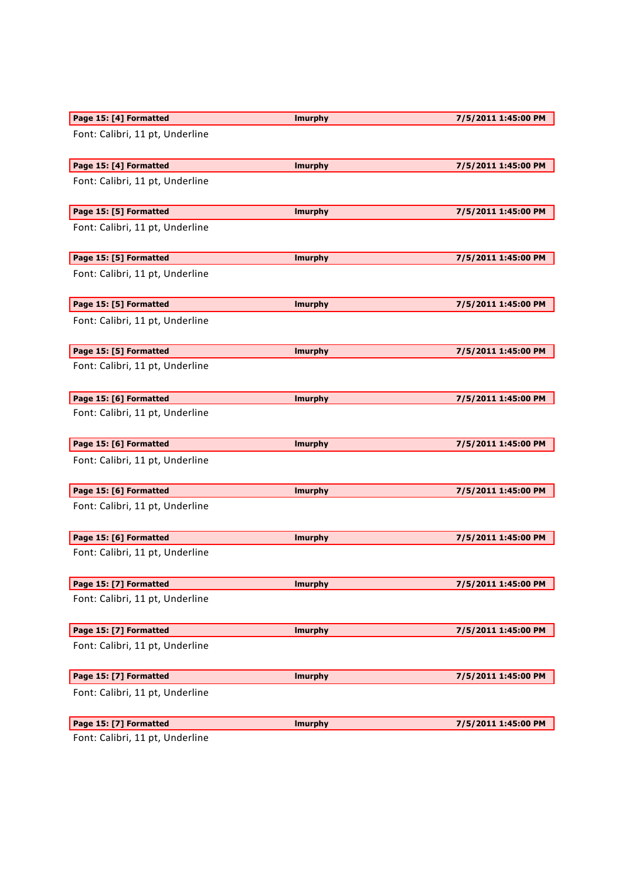| Page 15: [4] Formatted          | <b>Imurphy</b> | 7/5/2011 1:45:00 PM |
|---------------------------------|----------------|---------------------|
| Font: Calibri, 11 pt, Underline |                |                     |
| Page 15: [4] Formatted          | <b>Imurphy</b> | 7/5/2011 1:45:00 PM |
| Font: Calibri, 11 pt, Underline |                |                     |
| Page 15: [5] Formatted          | <b>Imurphy</b> | 7/5/2011 1:45:00 PM |
| Font: Calibri, 11 pt, Underline |                |                     |
| Page 15: [5] Formatted          | <b>Imurphy</b> | 7/5/2011 1:45:00 PM |
| Font: Calibri, 11 pt, Underline |                |                     |
| Page 15: [5] Formatted          | <b>Imurphy</b> | 7/5/2011 1:45:00 PM |
| Font: Calibri, 11 pt, Underline |                |                     |
| Page 15: [5] Formatted          | <b>Imurphy</b> | 7/5/2011 1:45:00 PM |
| Font: Calibri, 11 pt, Underline |                |                     |
| Page 15: [6] Formatted          | <b>Imurphy</b> | 7/5/2011 1:45:00 PM |
| Font: Calibri, 11 pt, Underline |                |                     |
| Page 15: [6] Formatted          | <b>Imurphy</b> | 7/5/2011 1:45:00 PM |
| Font: Calibri, 11 pt, Underline |                |                     |
| Page 15: [6] Formatted          | <b>Imurphy</b> | 7/5/2011 1:45:00 PM |
| Font: Calibri, 11 pt, Underline |                |                     |
| Page 15: [6] Formatted          | <b>Imurphy</b> | 7/5/2011 1:45:00 PM |
| Font: Calibri, 11 pt, Underline |                |                     |
| Page 15: [7] Formatted          | <b>Imurphy</b> | 7/5/2011 1:45:00 PM |
| Font: Calibri, 11 pt, Underline |                |                     |
| Page 15: [7] Formatted          | <b>Imurphy</b> | 7/5/2011 1:45:00 PM |
| Font: Calibri, 11 pt, Underline |                |                     |
| Page 15: [7] Formatted          | <b>Imurphy</b> | 7/5/2011 1:45:00 PM |
| Font: Calibri, 11 pt, Underline |                |                     |
| Page 15: [7] Formatted          | <b>Imurphy</b> | 7/5/2011 1:45:00 PM |
| atı Calibri 11 at Hadarling     |                |                     |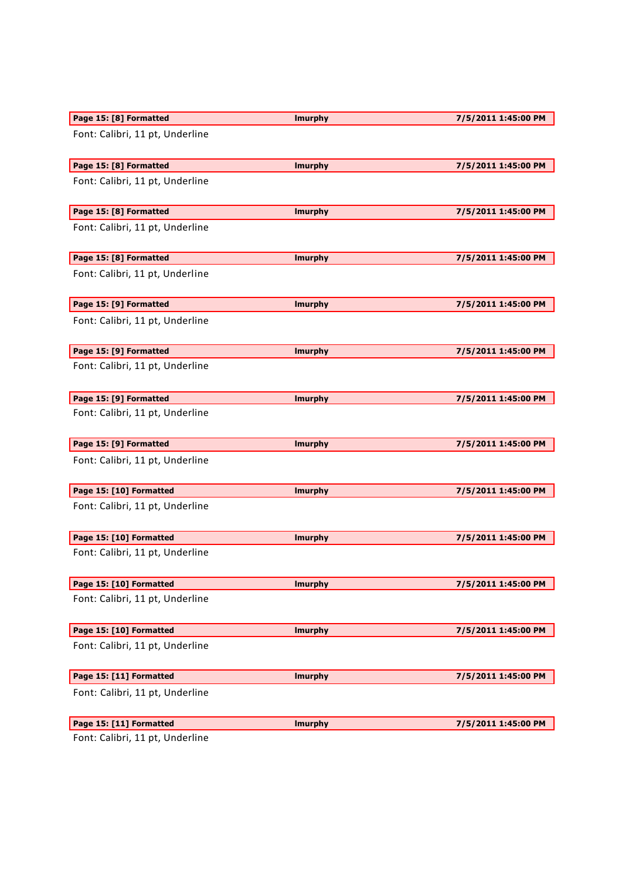| Page 15: [8] Formatted          | <b>Imurphy</b> | 7/5/2011 1:45:00 PM |
|---------------------------------|----------------|---------------------|
| Font: Calibri, 11 pt, Underline |                |                     |
| Page 15: [8] Formatted          | <b>Imurphy</b> | 7/5/2011 1:45:00 PM |
| Font: Calibri, 11 pt, Underline |                |                     |
| Page 15: [8] Formatted          | <b>Imurphy</b> | 7/5/2011 1:45:00 PM |
| Font: Calibri, 11 pt, Underline |                |                     |
| Page 15: [8] Formatted          | <b>Imurphy</b> | 7/5/2011 1:45:00 PM |
| Font: Calibri, 11 pt, Underline |                |                     |
| Page 15: [9] Formatted          | <b>Imurphy</b> | 7/5/2011 1:45:00 PM |
| Font: Calibri, 11 pt, Underline |                |                     |
| Page 15: [9] Formatted          | <b>Imurphy</b> | 7/5/2011 1:45:00 PM |
| Font: Calibri, 11 pt, Underline |                |                     |
| Page 15: [9] Formatted          | <b>Imurphy</b> | 7/5/2011 1:45:00 PM |
| Font: Calibri, 11 pt, Underline |                |                     |
| Page 15: [9] Formatted          | <b>Imurphy</b> | 7/5/2011 1:45:00 PM |
| Font: Calibri, 11 pt, Underline |                |                     |
| Page 15: [10] Formatted         | <b>Imurphy</b> | 7/5/2011 1:45:00 PM |
| Font: Calibri, 11 pt, Underline |                |                     |
| Page 15: [10] Formatted         | <b>Imurphy</b> | 7/5/2011 1:45:00 PM |
| Font: Calibri, 11 pt, Underline |                |                     |
| Page 15: [10] Formatted         | <b>Imurphy</b> | 7/5/2011 1:45:00 PM |
| Font: Calibri, 11 pt, Underline |                |                     |
| Page 15: [10] Formatted         | <b>Imurphy</b> | 7/5/2011 1:45:00 PM |
| Font: Calibri, 11 pt, Underline |                |                     |
| Page 15: [11] Formatted         | <b>Imurphy</b> | 7/5/2011 1:45:00 PM |
| Font: Calibri, 11 pt, Underline |                |                     |
| Page 15: [11] Formatted         | <b>Imurphy</b> | 7/5/2011 1:45:00 PM |
|                                 |                |                     |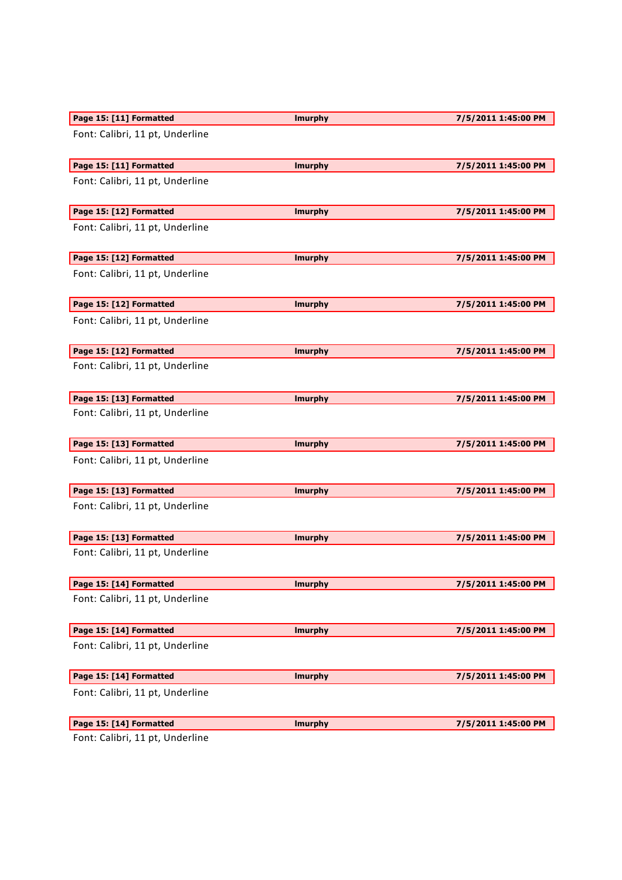| Page 15: [11] Formatted         | <b>Imurphy</b> | 7/5/2011 1:45:00 PM |
|---------------------------------|----------------|---------------------|
| Font: Calibri, 11 pt, Underline |                |                     |
| Page 15: [11] Formatted         | <b>Imurphy</b> | 7/5/2011 1:45:00 PM |
| Font: Calibri, 11 pt, Underline |                |                     |
| Page 15: [12] Formatted         | <b>Imurphy</b> | 7/5/2011 1:45:00 PM |
| Font: Calibri, 11 pt, Underline |                |                     |
| Page 15: [12] Formatted         | <b>Imurphy</b> | 7/5/2011 1:45:00 PM |
| Font: Calibri, 11 pt, Underline |                |                     |
| Page 15: [12] Formatted         | <b>Imurphy</b> | 7/5/2011 1:45:00 PM |
| Font: Calibri, 11 pt, Underline |                |                     |
| Page 15: [12] Formatted         | <b>Imurphy</b> | 7/5/2011 1:45:00 PM |
| Font: Calibri, 11 pt, Underline |                |                     |
| Page 15: [13] Formatted         | <b>Imurphy</b> | 7/5/2011 1:45:00 PM |
| Font: Calibri, 11 pt, Underline |                |                     |
| Page 15: [13] Formatted         | <b>Imurphy</b> | 7/5/2011 1:45:00 PM |
| Font: Calibri, 11 pt, Underline |                |                     |
| Page 15: [13] Formatted         | <b>Imurphy</b> | 7/5/2011 1:45:00 PM |
| Font: Calibri, 11 pt, Underline |                |                     |
| Page 15: [13] Formatted         | <b>Imurphy</b> | 7/5/2011 1:45:00 PM |
| Font: Calibri, 11 pt, Underline |                |                     |
| Page 15: [14] Formatted         | <b>Imurphy</b> | 7/5/2011 1:45:00 PM |
| Font: Calibri, 11 pt, Underline |                |                     |
| Page 15: [14] Formatted         | <b>Imurphy</b> | 7/5/2011 1:45:00 PM |
| Font: Calibri, 11 pt, Underline |                |                     |
| Page 15: [14] Formatted         | <b>Imurphy</b> | 7/5/2011 1:45:00 PM |
| Font: Calibri, 11 pt, Underline |                |                     |
|                                 |                |                     |
| Page 15: [14] Formatted         | <b>Imurphy</b> | 7/5/2011 1:45:00 PM |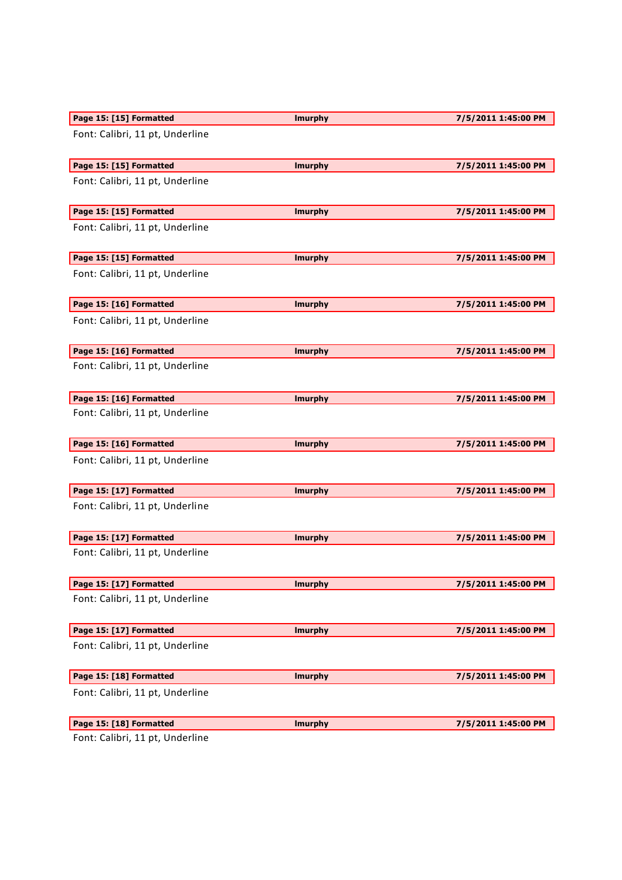| Page 15: [15] Formatted         | <b>Imurphy</b> | 7/5/2011 1:45:00 PM |
|---------------------------------|----------------|---------------------|
| Font: Calibri, 11 pt, Underline |                |                     |
| Page 15: [15] Formatted         | <b>Imurphy</b> | 7/5/2011 1:45:00 PM |
| Font: Calibri, 11 pt, Underline |                |                     |
| Page 15: [15] Formatted         | <b>Imurphy</b> | 7/5/2011 1:45:00 PM |
| Font: Calibri, 11 pt, Underline |                |                     |
| Page 15: [15] Formatted         | <b>Imurphy</b> | 7/5/2011 1:45:00 PM |
| Font: Calibri, 11 pt, Underline |                |                     |
| Page 15: [16] Formatted         | <b>Imurphy</b> | 7/5/2011 1:45:00 PM |
| Font: Calibri, 11 pt, Underline |                |                     |
| Page 15: [16] Formatted         | <b>Imurphy</b> | 7/5/2011 1:45:00 PM |
| Font: Calibri, 11 pt, Underline |                |                     |
| Page 15: [16] Formatted         | <b>Imurphy</b> | 7/5/2011 1:45:00 PM |
| Font: Calibri, 11 pt, Underline |                |                     |
| Page 15: [16] Formatted         | <b>Imurphy</b> | 7/5/2011 1:45:00 PM |
| Font: Calibri, 11 pt, Underline |                |                     |
| Page 15: [17] Formatted         | <b>Imurphy</b> | 7/5/2011 1:45:00 PM |
| Font: Calibri, 11 pt, Underline |                |                     |
| Page 15: [17] Formatted         | <b>Imurphy</b> | 7/5/2011 1:45:00 PM |
| Font: Calibri, 11 pt, Underline |                |                     |
| Page 15: [17] Formatted         | <b>Imurphy</b> | 7/5/2011 1:45:00 PM |
| Font: Calibri, 11 pt, Underline |                |                     |
| Page 15: [17] Formatted         | <b>Imurphy</b> | 7/5/2011 1:45:00 PM |
| Font: Calibri, 11 pt, Underline |                |                     |
| Page 15: [18] Formatted         | <b>Imurphy</b> | 7/5/2011 1:45:00 PM |
| Font: Calibri, 11 pt, Underline |                |                     |
| Page 15: [18] Formatted         | <b>Imurphy</b> | 7/5/2011 1:45:00 PM |
| $Cont:$ Calibri 11 nt Underline |                |                     |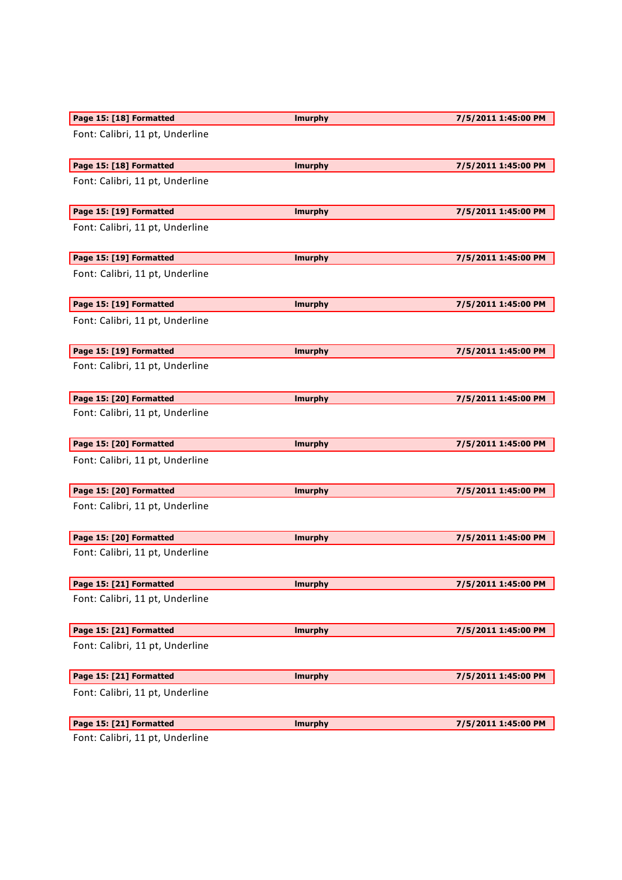| Page 15: [18] Formatted         | <b>Imurphy</b> | 7/5/2011 1:45:00 PM |
|---------------------------------|----------------|---------------------|
| Font: Calibri, 11 pt, Underline |                |                     |
| Page 15: [18] Formatted         | <b>Imurphy</b> | 7/5/2011 1:45:00 PM |
| Font: Calibri, 11 pt, Underline |                |                     |
| Page 15: [19] Formatted         | <b>Imurphy</b> | 7/5/2011 1:45:00 PM |
| Font: Calibri, 11 pt, Underline |                |                     |
| Page 15: [19] Formatted         | <b>Imurphy</b> | 7/5/2011 1:45:00 PM |
| Font: Calibri, 11 pt, Underline |                |                     |
| Page 15: [19] Formatted         | <b>Imurphy</b> | 7/5/2011 1:45:00 PM |
| Font: Calibri, 11 pt, Underline |                |                     |
| Page 15: [19] Formatted         | <b>Imurphy</b> | 7/5/2011 1:45:00 PM |
| Font: Calibri, 11 pt, Underline |                |                     |
| Page 15: [20] Formatted         | <b>Imurphy</b> | 7/5/2011 1:45:00 PM |
| Font: Calibri, 11 pt, Underline |                |                     |
| Page 15: [20] Formatted         | <b>Imurphy</b> | 7/5/2011 1:45:00 PM |
| Font: Calibri, 11 pt, Underline |                |                     |
| Page 15: [20] Formatted         | <b>Imurphy</b> | 7/5/2011 1:45:00 PM |
| Font: Calibri, 11 pt, Underline |                |                     |
| Page 15: [20] Formatted         | <b>Imurphy</b> | 7/5/2011 1:45:00 PM |
| Font: Calibri, 11 pt, Underline |                |                     |
| Page 15: [21] Formatted         | <b>Imurphy</b> | 7/5/2011 1:45:00 PM |
| Font: Calibri, 11 pt, Underline |                |                     |
| Page 15: [21] Formatted         | <b>Imurphy</b> | 7/5/2011 1:45:00 PM |
| Font: Calibri, 11 pt, Underline |                |                     |
| Page 15: [21] Formatted         |                | 7/5/2011 1:45:00 PM |
|                                 | <b>Imurphy</b> |                     |
| Font: Calibri, 11 pt, Underline |                |                     |
| Page 15: [21] Formatted         | <b>Imurphy</b> | 7/5/2011 1:45:00 PM |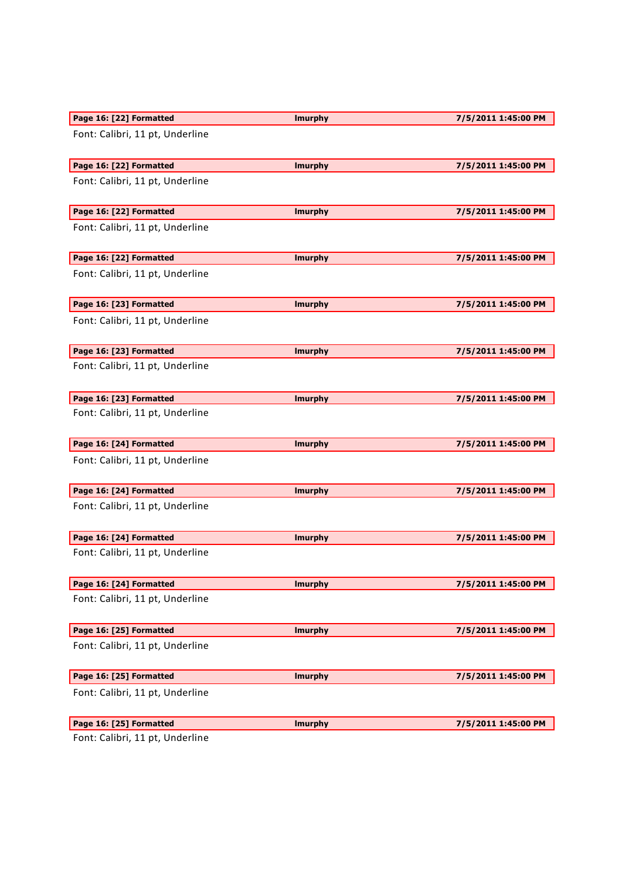| Page 16: [22] Formatted         | <b>Imurphy</b> | 7/5/2011 1:45:00 PM |
|---------------------------------|----------------|---------------------|
| Font: Calibri, 11 pt, Underline |                |                     |
| Page 16: [22] Formatted         | <b>Imurphy</b> | 7/5/2011 1:45:00 PM |
| Font: Calibri, 11 pt, Underline |                |                     |
| Page 16: [22] Formatted         | <b>Imurphy</b> | 7/5/2011 1:45:00 PM |
| Font: Calibri, 11 pt, Underline |                |                     |
| Page 16: [22] Formatted         | <b>Imurphy</b> | 7/5/2011 1:45:00 PM |
| Font: Calibri, 11 pt, Underline |                |                     |
| Page 16: [23] Formatted         | <b>Imurphy</b> | 7/5/2011 1:45:00 PM |
| Font: Calibri, 11 pt, Underline |                |                     |
| Page 16: [23] Formatted         | <b>Imurphy</b> | 7/5/2011 1:45:00 PM |
| Font: Calibri, 11 pt, Underline |                |                     |
| Page 16: [23] Formatted         | <b>Imurphy</b> | 7/5/2011 1:45:00 PM |
| Font: Calibri, 11 pt, Underline |                |                     |
| Page 16: [24] Formatted         | <b>Imurphy</b> | 7/5/2011 1:45:00 PM |
| Font: Calibri, 11 pt, Underline |                |                     |
| Page 16: [24] Formatted         | <b>Imurphy</b> | 7/5/2011 1:45:00 PM |
| Font: Calibri, 11 pt, Underline |                |                     |
| Page 16: [24] Formatted         | <b>Imurphy</b> | 7/5/2011 1:45:00 PM |
| Font: Calibri, 11 pt, Underline |                |                     |
| Page 16: [24] Formatted         | <b>Imurphy</b> | 7/5/2011 1:45:00 PM |
| Font: Calibri, 11 pt, Underline |                |                     |
| Page 16: [25] Formatted         | <b>Imurphy</b> | 7/5/2011 1:45:00 PM |
| Font: Calibri, 11 pt, Underline |                |                     |
| Page 16: [25] Formatted         | <b>Imurphy</b> | 7/5/2011 1:45:00 PM |
| Font: Calibri, 11 pt, Underline |                |                     |
| Page 16: [25] Formatted         | <b>Imurphy</b> | 7/5/2011 1:45:00 PM |
| Eant: Calibri 11 nt Ilndorling  |                |                     |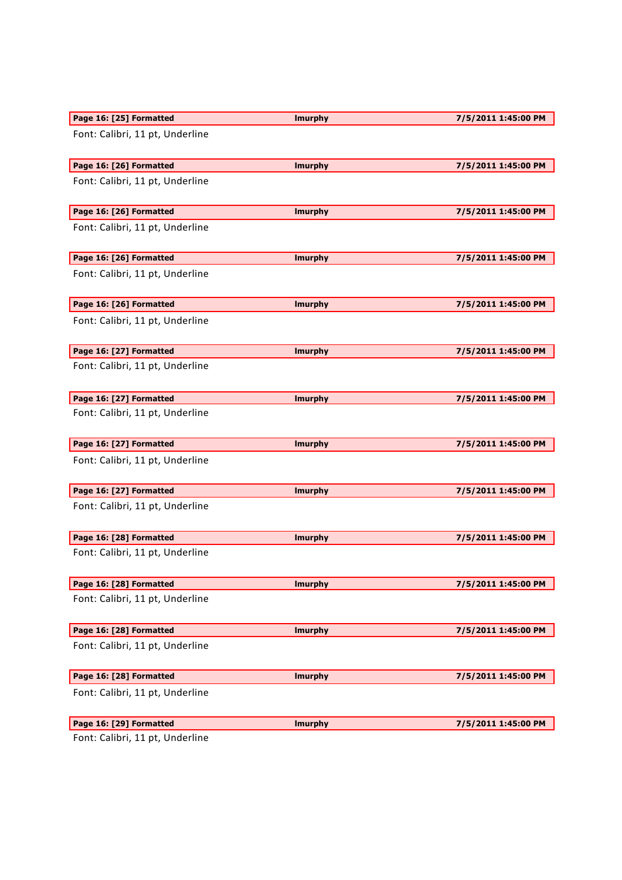| Page 16: [25] Formatted         | <b>Imurphy</b> | 7/5/2011 1:45:00 PM |
|---------------------------------|----------------|---------------------|
| Font: Calibri, 11 pt, Underline |                |                     |
| Page 16: [26] Formatted         | <b>Imurphy</b> | 7/5/2011 1:45:00 PM |
| Font: Calibri, 11 pt, Underline |                |                     |
| Page 16: [26] Formatted         | <b>Imurphy</b> | 7/5/2011 1:45:00 PM |
| Font: Calibri, 11 pt, Underline |                |                     |
| Page 16: [26] Formatted         | <b>Imurphy</b> | 7/5/2011 1:45:00 PM |
| Font: Calibri, 11 pt, Underline |                |                     |
| Page 16: [26] Formatted         | <b>Imurphy</b> | 7/5/2011 1:45:00 PM |
| Font: Calibri, 11 pt, Underline |                |                     |
| Page 16: [27] Formatted         | <b>Imurphy</b> | 7/5/2011 1:45:00 PM |
| Font: Calibri, 11 pt, Underline |                |                     |
| Page 16: [27] Formatted         | <b>Imurphy</b> | 7/5/2011 1:45:00 PM |
| Font: Calibri, 11 pt, Underline |                |                     |
| Page 16: [27] Formatted         | <b>Imurphy</b> | 7/5/2011 1:45:00 PM |
| Font: Calibri, 11 pt, Underline |                |                     |
| Page 16: [27] Formatted         | <b>Imurphy</b> | 7/5/2011 1:45:00 PM |
| Font: Calibri, 11 pt, Underline |                |                     |
| Page 16: [28] Formatted         | <b>Imurphy</b> | 7/5/2011 1:45:00 PM |
| Font: Calibri, 11 pt, Underline |                |                     |
| Page 16: [28] Formatted         | <b>Imurphy</b> | 7/5/2011 1:45:00 PM |
| Font: Calibri, 11 pt, Underline |                |                     |
| Page 16: [28] Formatted         | <b>Imurphy</b> | 7/5/2011 1:45:00 PM |
| Font: Calibri, 11 pt, Underline |                |                     |
| Page 16: [28] Formatted         | <b>Imurphy</b> | 7/5/2011 1:45:00 PM |
| Font: Calibri, 11 pt, Underline |                |                     |
|                                 |                |                     |
| Page 16: [29] Formatted         | <b>Imurphy</b> | 7/5/2011 1:45:00 PM |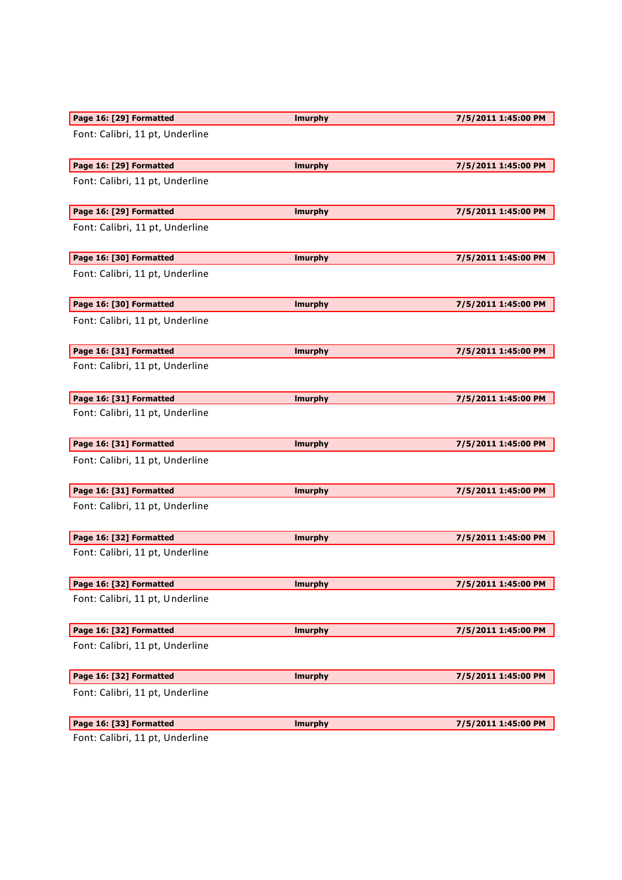| Page 16: [29] Formatted         | <b>Imurphy</b> | 7/5/2011 1:45:00 PM |
|---------------------------------|----------------|---------------------|
| Font: Calibri, 11 pt, Underline |                |                     |
| Page 16: [29] Formatted         | <b>Imurphy</b> | 7/5/2011 1:45:00 PM |
| Font: Calibri, 11 pt, Underline |                |                     |
| Page 16: [29] Formatted         | <b>Imurphy</b> | 7/5/2011 1:45:00 PM |
| Font: Calibri, 11 pt, Underline |                |                     |
| Page 16: [30] Formatted         | <b>Imurphy</b> | 7/5/2011 1:45:00 PM |
| Font: Calibri, 11 pt, Underline |                |                     |
| Page 16: [30] Formatted         | <b>Imurphy</b> | 7/5/2011 1:45:00 PM |
| Font: Calibri, 11 pt, Underline |                |                     |
| Page 16: [31] Formatted         | <b>Imurphy</b> | 7/5/2011 1:45:00 PM |
| Font: Calibri, 11 pt, Underline |                |                     |
| Page 16: [31] Formatted         | <b>Imurphy</b> | 7/5/2011 1:45:00 PM |
| Font: Calibri, 11 pt, Underline |                |                     |
| Page 16: [31] Formatted         | <b>Imurphy</b> | 7/5/2011 1:45:00 PM |
| Font: Calibri, 11 pt, Underline |                |                     |
| Page 16: [31] Formatted         | <b>Imurphy</b> | 7/5/2011 1:45:00 PM |
| Font: Calibri, 11 pt, Underline |                |                     |
| Page 16: [32] Formatted         | <b>Imurphy</b> | 7/5/2011 1:45:00 PM |
| Font: Calibri, 11 pt, Underline |                |                     |
| Page 16: [32] Formatted         | <b>Imurphy</b> | 7/5/2011 1:45:00 PM |
| Font: Calibri, 11 pt, Underline |                |                     |
| Page 16: [32] Formatted         | <b>Imurphy</b> | 7/5/2011 1:45:00 PM |
| Font: Calibri, 11 pt, Underline |                |                     |
| Page 16: [32] Formatted         | <b>Imurphy</b> | 7/5/2011 1:45:00 PM |
| Font: Calibri, 11 pt, Underline |                |                     |
| Page 16: [33] Formatted         | <b>Imurphy</b> | 7/5/2011 1:45:00 PM |
| Eant: Calibri 11 nt IIndorlina  |                |                     |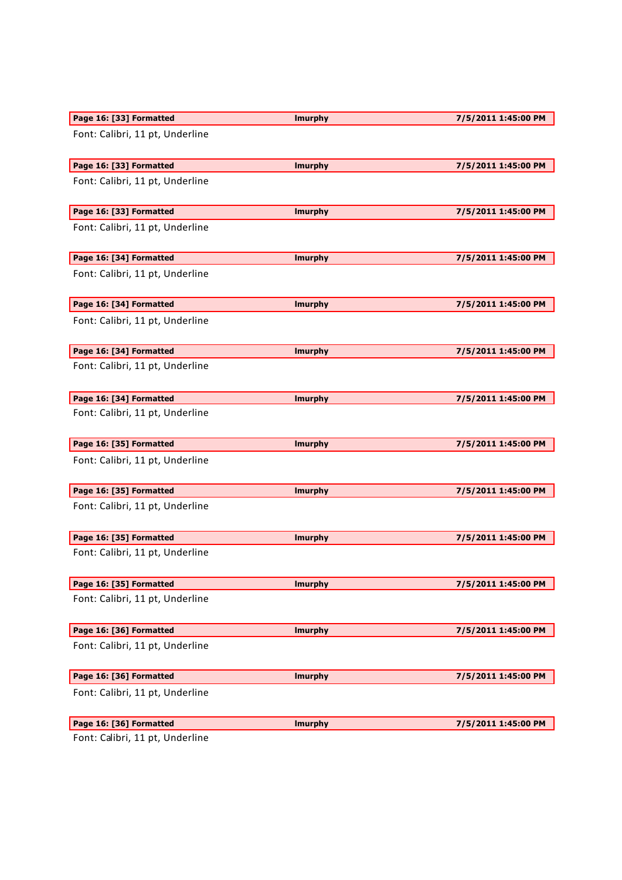| Page 16: [33] Formatted                   | <b>Imurphy</b> | 7/5/2011 1:45:00 PM |
|-------------------------------------------|----------------|---------------------|
| Font: Calibri, 11 pt, Underline           |                |                     |
| Page 16: [33] Formatted                   | <b>Imurphy</b> | 7/5/2011 1:45:00 PM |
| Font: Calibri, 11 pt, Underline           |                |                     |
| Page 16: [33] Formatted                   | <b>Imurphy</b> | 7/5/2011 1:45:00 PM |
| Font: Calibri, 11 pt, Underline           |                |                     |
| Page 16: [34] Formatted                   | <b>Imurphy</b> | 7/5/2011 1:45:00 PM |
| Font: Calibri, 11 pt, Underline           |                |                     |
| Page 16: [34] Formatted                   | <b>Imurphy</b> | 7/5/2011 1:45:00 PM |
| Font: Calibri, 11 pt, Underline           |                |                     |
| Page 16: [34] Formatted                   | <b>Imurphy</b> | 7/5/2011 1:45:00 PM |
| Font: Calibri, 11 pt, Underline           |                |                     |
| Page 16: [34] Formatted                   | <b>Imurphy</b> | 7/5/2011 1:45:00 PM |
| Font: Calibri, 11 pt, Underline           |                |                     |
| Page 16: [35] Formatted                   | <b>Imurphy</b> | 7/5/2011 1:45:00 PM |
| Font: Calibri, 11 pt, Underline           |                |                     |
| Page 16: [35] Formatted                   | <b>Imurphy</b> | 7/5/2011 1:45:00 PM |
| Font: Calibri, 11 pt, Underline           |                |                     |
| Page 16: [35] Formatted                   | <b>Imurphy</b> | 7/5/2011 1:45:00 PM |
| Font: Calibri, 11 pt, Underline           |                |                     |
| Page 16: [35] Formatted                   | <b>Imurphy</b> | 7/5/2011 1:45:00 PM |
| Font: Calibri, 11 pt, Underline           |                |                     |
| Page 16: [36] Formatted                   | <b>Imurphy</b> | 7/5/2011 1:45:00 PM |
| Font: Calibri, 11 pt, Underline           |                |                     |
| Page 16: [36] Formatted                   | <b>Imurphy</b> | 7/5/2011 1:45:00 PM |
| Font: Calibri, 11 pt, Underline           |                |                     |
| Page 16: [36] Formatted                   | <b>Imurphy</b> | 7/5/2011 1:45:00 PM |
| $\mathsf{Cont}$ : Calibri 11 nt Undorlino |                |                     |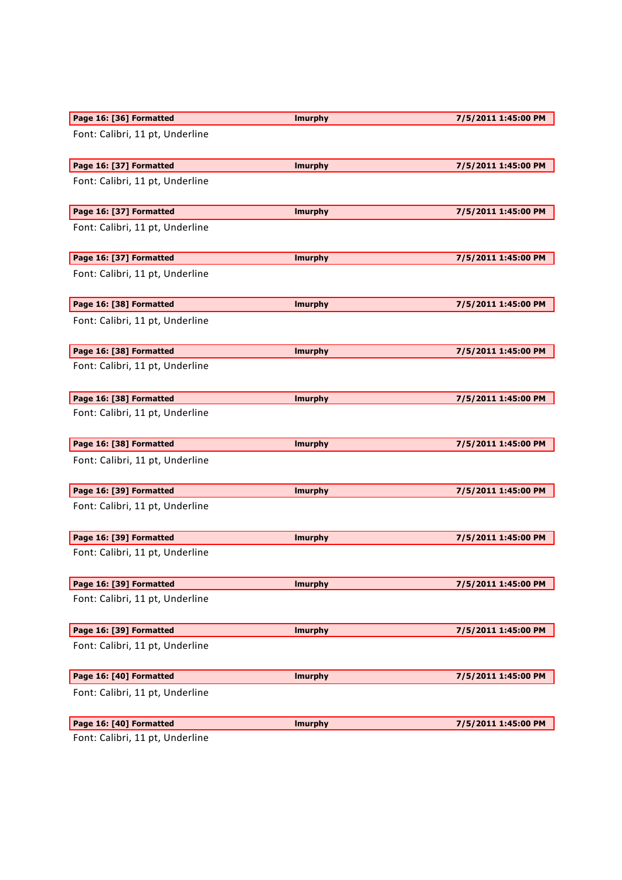| Page 16: [36] Formatted                 | <b>Imurphy</b> | 7/5/2011 1:45:00 PM |
|-----------------------------------------|----------------|---------------------|
| Font: Calibri, 11 pt, Underline         |                |                     |
| Page 16: [37] Formatted                 | <b>Imurphy</b> | 7/5/2011 1:45:00 PM |
| Font: Calibri, 11 pt, Underline         |                |                     |
| Page 16: [37] Formatted                 | <b>Imurphy</b> | 7/5/2011 1:45:00 PM |
| Font: Calibri, 11 pt, Underline         |                |                     |
| Page 16: [37] Formatted                 | <b>Imurphy</b> | 7/5/2011 1:45:00 PM |
| Font: Calibri, 11 pt, Underline         |                |                     |
| Page 16: [38] Formatted                 | <b>Imurphy</b> | 7/5/2011 1:45:00 PM |
| Font: Calibri, 11 pt, Underline         |                |                     |
| Page 16: [38] Formatted                 | <b>Imurphy</b> | 7/5/2011 1:45:00 PM |
| Font: Calibri, 11 pt, Underline         |                |                     |
| Page 16: [38] Formatted                 | <b>Imurphy</b> | 7/5/2011 1:45:00 PM |
| Font: Calibri, 11 pt, Underline         |                |                     |
| Page 16: [38] Formatted                 | <b>Imurphy</b> | 7/5/2011 1:45:00 PM |
| Font: Calibri, 11 pt, Underline         |                |                     |
| Page 16: [39] Formatted                 | <b>Imurphy</b> | 7/5/2011 1:45:00 PM |
| Font: Calibri, 11 pt, Underline         |                |                     |
| Page 16: [39] Formatted                 | <b>Imurphy</b> | 7/5/2011 1:45:00 PM |
| Font: Calibri, 11 pt, Underline         |                |                     |
| Page 16: [39] Formatted                 | <b>Imurphy</b> | 7/5/2011 1:45:00 PM |
| Font: Calibri, 11 pt, Underline         |                |                     |
| Page 16: [39] Formatted                 | <b>Imurphy</b> | 7/5/2011 1:45:00 PM |
| Font: Calibri, 11 pt, Underline         |                |                     |
| Page 16: [40] Formatted                 | <b>Imurphy</b> | 7/5/2011 1:45:00 PM |
| Font: Calibri, 11 pt, Underline         |                |                     |
| Page 16: [40] Formatted                 | <b>Imurphy</b> | 7/5/2011 1:45:00 PM |
| $\mathsf{Cont}$ Calibri 11 nt Underline |                |                     |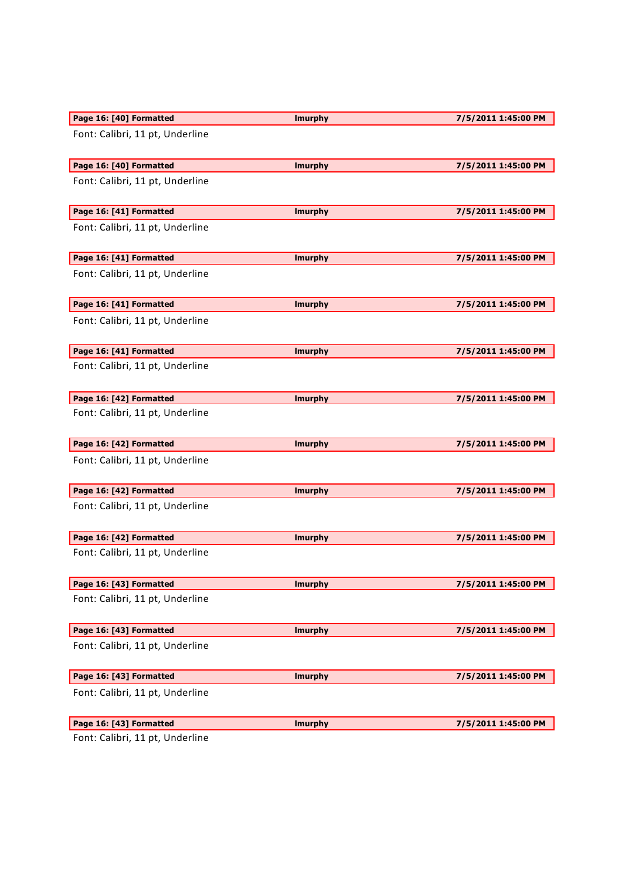| Page 16: [40] Formatted         | <b>Imurphy</b> | 7/5/2011 1:45:00 PM |
|---------------------------------|----------------|---------------------|
| Font: Calibri, 11 pt, Underline |                |                     |
| Page 16: [40] Formatted         | <b>Imurphy</b> | 7/5/2011 1:45:00 PM |
| Font: Calibri, 11 pt, Underline |                |                     |
| Page 16: [41] Formatted         | <b>Imurphy</b> | 7/5/2011 1:45:00 PM |
| Font: Calibri, 11 pt, Underline |                |                     |
| Page 16: [41] Formatted         | <b>Imurphy</b> | 7/5/2011 1:45:00 PM |
| Font: Calibri, 11 pt, Underline |                |                     |
| Page 16: [41] Formatted         | <b>Imurphy</b> | 7/5/2011 1:45:00 PM |
| Font: Calibri, 11 pt, Underline |                |                     |
| Page 16: [41] Formatted         | <b>Imurphy</b> | 7/5/2011 1:45:00 PM |
| Font: Calibri, 11 pt, Underline |                |                     |
| Page 16: [42] Formatted         | <b>Imurphy</b> | 7/5/2011 1:45:00 PM |
| Font: Calibri, 11 pt, Underline |                |                     |
| Page 16: [42] Formatted         | <b>Imurphy</b> | 7/5/2011 1:45:00 PM |
| Font: Calibri, 11 pt, Underline |                |                     |
| Page 16: [42] Formatted         | <b>Imurphy</b> | 7/5/2011 1:45:00 PM |
| Font: Calibri, 11 pt, Underline |                |                     |
| Page 16: [42] Formatted         | <b>Imurphy</b> | 7/5/2011 1:45:00 PM |
| Font: Calibri, 11 pt, Underline |                |                     |
| Page 16: [43] Formatted         |                |                     |
|                                 | <b>Imurphy</b> | 7/5/2011 1:45:00 PM |
| Font: Calibri, 11 pt, Underline |                |                     |
| Page 16: [43] Formatted         | <b>Imurphy</b> | 7/5/2011 1:45:00 PM |
| Font: Calibri, 11 pt, Underline |                |                     |
| Page 16: [43] Formatted         | <b>Imurphy</b> | 7/5/2011 1:45:00 PM |
| Font: Calibri, 11 pt, Underline |                |                     |
| Page 16: [43] Formatted         | <b>Imurphy</b> | 7/5/2011 1:45:00 PM |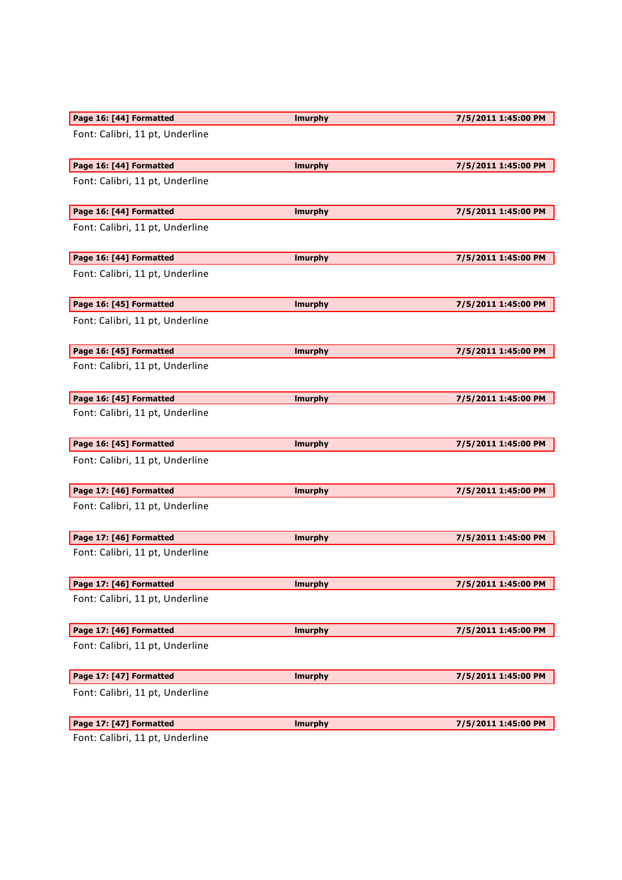| Page 16: [44] Formatted         | <b>Imurphy</b> | 7/5/2011 1:45:00 PM |
|---------------------------------|----------------|---------------------|
| Font: Calibri, 11 pt, Underline |                |                     |
| Page 16: [44] Formatted         | <b>Imurphy</b> | 7/5/2011 1:45:00 PM |
| Font: Calibri, 11 pt, Underline |                |                     |
| Page 16: [44] Formatted         | <b>Imurphy</b> | 7/5/2011 1:45:00 PM |
| Font: Calibri, 11 pt, Underline |                |                     |
| Page 16: [44] Formatted         | <b>Imurphy</b> | 7/5/2011 1:45:00 PM |
| Font: Calibri, 11 pt, Underline |                |                     |
| Page 16: [45] Formatted         | <b>Imurphy</b> | 7/5/2011 1:45:00 PM |
| Font: Calibri, 11 pt, Underline |                |                     |
| Page 16: [45] Formatted         | <b>Imurphy</b> | 7/5/2011 1:45:00 PM |
| Font: Calibri, 11 pt, Underline |                |                     |
| Page 16: [45] Formatted         | <b>Imurphy</b> | 7/5/2011 1:45:00 PM |
| Font: Calibri, 11 pt, Underline |                |                     |
| Page 16: [45] Formatted         | <b>Imurphy</b> | 7/5/2011 1:45:00 PM |
| Font: Calibri, 11 pt, Underline |                |                     |
| Page 17: [46] Formatted         | <b>Imurphy</b> | 7/5/2011 1:45:00 PM |
| Font: Calibri, 11 pt, Underline |                |                     |
| Page 17: [46] Formatted         | <b>Imurphy</b> | 7/5/2011 1:45:00 PM |
| Font: Calibri, 11 pt, Underline |                |                     |
| Page 17: [46] Formatted         | <b>Imurphy</b> | 7/5/2011 1:45:00 PM |
| Font: Calibri, 11 pt, Underline |                |                     |
| Page 17: [46] Formatted         | <b>Imurphy</b> | 7/5/2011 1:45:00 PM |
| Font: Calibri, 11 pt, Underline |                |                     |
| Page 17: [47] Formatted         | <b>Imurphy</b> | 7/5/2011 1:45:00 PM |
| Font: Calibri, 11 pt, Underline |                |                     |
| Page 17: [47] Formatted         | <b>Imurphy</b> | 7/5/2011 1:45:00 PM |
|                                 |                |                     |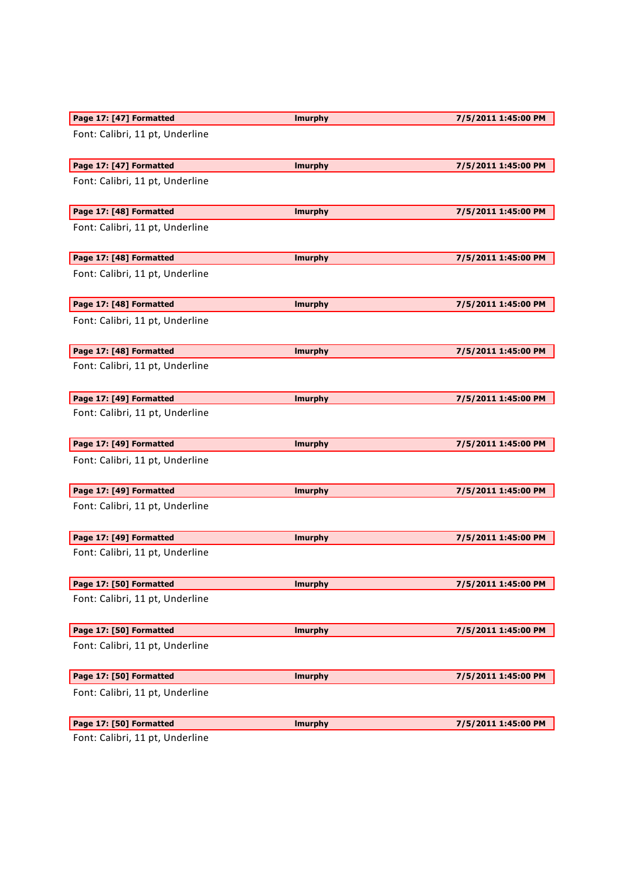| Page 17: [47] Formatted         | <b>Imurphy</b> | 7/5/2011 1:45:00 PM |
|---------------------------------|----------------|---------------------|
| Font: Calibri, 11 pt, Underline |                |                     |
| Page 17: [47] Formatted         | <b>Imurphy</b> | 7/5/2011 1:45:00 PM |
| Font: Calibri, 11 pt, Underline |                |                     |
| Page 17: [48] Formatted         | <b>Imurphy</b> | 7/5/2011 1:45:00 PM |
| Font: Calibri, 11 pt, Underline |                |                     |
| Page 17: [48] Formatted         | <b>Imurphy</b> | 7/5/2011 1:45:00 PM |
| Font: Calibri, 11 pt, Underline |                |                     |
| Page 17: [48] Formatted         | <b>Imurphy</b> | 7/5/2011 1:45:00 PM |
| Font: Calibri, 11 pt, Underline |                |                     |
| Page 17: [48] Formatted         | <b>Imurphy</b> | 7/5/2011 1:45:00 PM |
| Font: Calibri, 11 pt, Underline |                |                     |
| Page 17: [49] Formatted         | <b>Imurphy</b> | 7/5/2011 1:45:00 PM |
| Font: Calibri, 11 pt, Underline |                |                     |
| Page 17: [49] Formatted         | <b>Imurphy</b> | 7/5/2011 1:45:00 PM |
| Font: Calibri, 11 pt, Underline |                |                     |
| Page 17: [49] Formatted         | <b>Imurphy</b> | 7/5/2011 1:45:00 PM |
| Font: Calibri, 11 pt, Underline |                |                     |
| Page 17: [49] Formatted         | <b>Imurphy</b> | 7/5/2011 1:45:00 PM |
| Font: Calibri, 11 pt, Underline |                |                     |
| Page 17: [50] Formatted         | <b>Imurphy</b> | 7/5/2011 1:45:00 PM |
| Font: Calibri, 11 pt, Underline |                |                     |
| Page 17: [50] Formatted         | <b>Imurphy</b> | 7/5/2011 1:45:00 PM |
|                                 |                |                     |
| Font: Calibri, 11 pt, Underline |                |                     |
| Page 17: [50] Formatted         | <b>Imurphy</b> | 7/5/2011 1:45:00 PM |
| Font: Calibri, 11 pt, Underline |                |                     |
| Page 17: [50] Formatted         | <b>Imurphy</b> | 7/5/2011 1:45:00 PM |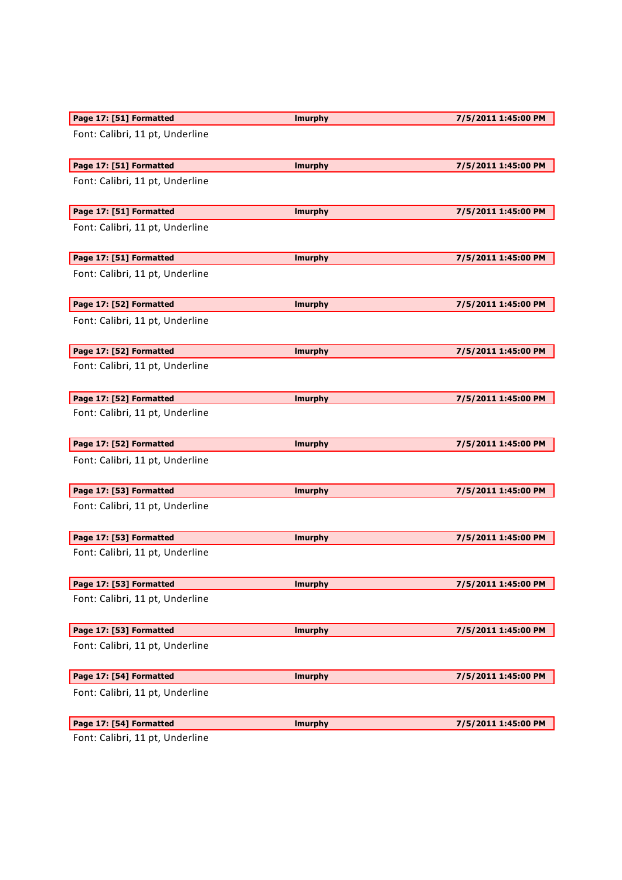| Page 17: [51] Formatted         | <b>Imurphy</b> | 7/5/2011 1:45:00 PM |
|---------------------------------|----------------|---------------------|
| Font: Calibri, 11 pt, Underline |                |                     |
| Page 17: [51] Formatted         | <b>Imurphy</b> | 7/5/2011 1:45:00 PM |
| Font: Calibri, 11 pt, Underline |                |                     |
| Page 17: [51] Formatted         | <b>Imurphy</b> | 7/5/2011 1:45:00 PM |
| Font: Calibri, 11 pt, Underline |                |                     |
| Page 17: [51] Formatted         | <b>Imurphy</b> | 7/5/2011 1:45:00 PM |
| Font: Calibri, 11 pt, Underline |                |                     |
| Page 17: [52] Formatted         | <b>Imurphy</b> | 7/5/2011 1:45:00 PM |
| Font: Calibri, 11 pt, Underline |                |                     |
| Page 17: [52] Formatted         | <b>Imurphy</b> | 7/5/2011 1:45:00 PM |
| Font: Calibri, 11 pt, Underline |                |                     |
| Page 17: [52] Formatted         | <b>Imurphy</b> | 7/5/2011 1:45:00 PM |
| Font: Calibri, 11 pt, Underline |                |                     |
| Page 17: [52] Formatted         | <b>Imurphy</b> | 7/5/2011 1:45:00 PM |
| Font: Calibri, 11 pt, Underline |                |                     |
| Page 17: [53] Formatted         | <b>Imurphy</b> | 7/5/2011 1:45:00 PM |
| Font: Calibri, 11 pt, Underline |                |                     |
| Page 17: [53] Formatted         | <b>Imurphy</b> | 7/5/2011 1:45:00 PM |
| Font: Calibri, 11 pt, Underline |                |                     |
| Page 17: [53] Formatted         | <b>Imurphy</b> | 7/5/2011 1:45:00 PM |
| Font: Calibri, 11 pt, Underline |                |                     |
| Page 17: [53] Formatted         | <b>Imurphy</b> | 7/5/2011 1:45:00 PM |
| Font: Calibri, 11 pt, Underline |                |                     |
| Page 17: [54] Formatted         | <b>Imurphy</b> | 7/5/2011 1:45:00 PM |
|                                 |                |                     |
| Font: Calibri, 11 pt, Underline |                |                     |
| Page 17: [54] Formatted         | <b>Imurphy</b> | 7/5/2011 1:45:00 PM |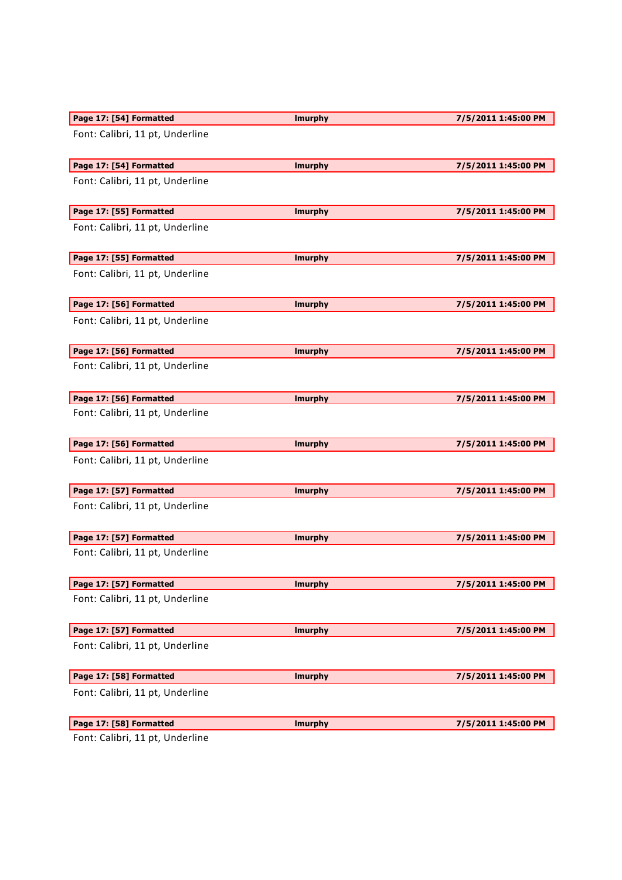| Page 17: [54] Formatted         | <b>Imurphy</b> | 7/5/2011 1:45:00 PM |
|---------------------------------|----------------|---------------------|
| Font: Calibri, 11 pt, Underline |                |                     |
| Page 17: [54] Formatted         | <b>Imurphy</b> | 7/5/2011 1:45:00 PM |
| Font: Calibri, 11 pt, Underline |                |                     |
| Page 17: [55] Formatted         | <b>Imurphy</b> | 7/5/2011 1:45:00 PM |
| Font: Calibri, 11 pt, Underline |                |                     |
| Page 17: [55] Formatted         | <b>Imurphy</b> | 7/5/2011 1:45:00 PM |
| Font: Calibri, 11 pt, Underline |                |                     |
| Page 17: [56] Formatted         | <b>Imurphy</b> | 7/5/2011 1:45:00 PM |
| Font: Calibri, 11 pt, Underline |                |                     |
| Page 17: [56] Formatted         | <b>Imurphy</b> | 7/5/2011 1:45:00 PM |
| Font: Calibri, 11 pt, Underline |                |                     |
| Page 17: [56] Formatted         | <b>Imurphy</b> | 7/5/2011 1:45:00 PM |
| Font: Calibri, 11 pt, Underline |                |                     |
| Page 17: [56] Formatted         | <b>Imurphy</b> | 7/5/2011 1:45:00 PM |
| Font: Calibri, 11 pt, Underline |                |                     |
| Page 17: [57] Formatted         | <b>Imurphy</b> | 7/5/2011 1:45:00 PM |
| Font: Calibri, 11 pt, Underline |                |                     |
| Page 17: [57] Formatted         | <b>Imurphy</b> | 7/5/2011 1:45:00 PM |
| Font: Calibri, 11 pt, Underline |                |                     |
| Page 17: [57] Formatted         | <b>Imurphy</b> | 7/5/2011 1:45:00 PM |
| Font: Calibri, 11 pt, Underline |                |                     |
| Page 17: [57] Formatted         | <b>Imurphy</b> | 7/5/2011 1:45:00 PM |
| Font: Calibri, 11 pt, Underline |                |                     |
|                                 |                |                     |
| Page 17: [58] Formatted         | <b>Imurphy</b> | 7/5/2011 1:45:00 PM |
| Font: Calibri, 11 pt, Underline |                |                     |
| Page 17: [58] Formatted         | <b>Imurphy</b> | 7/5/2011 1:45:00 PM |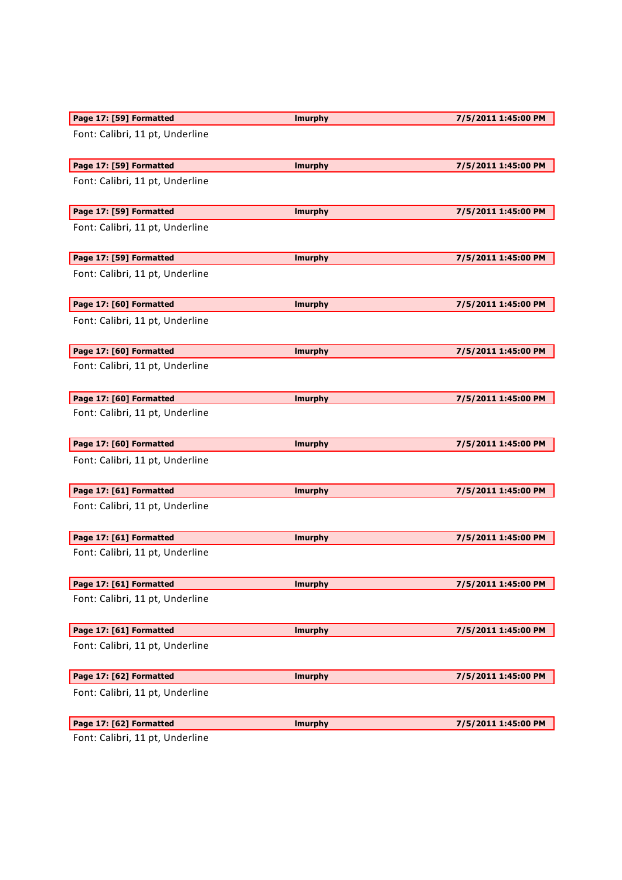| Page 17: [59] Formatted         | <b>Imurphy</b> | 7/5/2011 1:45:00 PM |
|---------------------------------|----------------|---------------------|
| Font: Calibri, 11 pt, Underline |                |                     |
| Page 17: [59] Formatted         | <b>Imurphy</b> | 7/5/2011 1:45:00 PM |
| Font: Calibri, 11 pt, Underline |                |                     |
| Page 17: [59] Formatted         | <b>Imurphy</b> | 7/5/2011 1:45:00 PM |
| Font: Calibri, 11 pt, Underline |                |                     |
| Page 17: [59] Formatted         | <b>Imurphy</b> | 7/5/2011 1:45:00 PM |
| Font: Calibri, 11 pt, Underline |                |                     |
| Page 17: [60] Formatted         | <b>Imurphy</b> | 7/5/2011 1:45:00 PM |
| Font: Calibri, 11 pt, Underline |                |                     |
| Page 17: [60] Formatted         | <b>Imurphy</b> | 7/5/2011 1:45:00 PM |
| Font: Calibri, 11 pt, Underline |                |                     |
| Page 17: [60] Formatted         | <b>Imurphy</b> | 7/5/2011 1:45:00 PM |
| Font: Calibri, 11 pt, Underline |                |                     |
| Page 17: [60] Formatted         | <b>Imurphy</b> | 7/5/2011 1:45:00 PM |
| Font: Calibri, 11 pt, Underline |                |                     |
| Page 17: [61] Formatted         | <b>Imurphy</b> | 7/5/2011 1:45:00 PM |
| Font: Calibri, 11 pt, Underline |                |                     |
| Page 17: [61] Formatted         | <b>Imurphy</b> | 7/5/2011 1:45:00 PM |
| Font: Calibri, 11 pt, Underline |                |                     |
| Page 17: [61] Formatted         | <b>Imurphy</b> | 7/5/2011 1:45:00 PM |
| Font: Calibri, 11 pt, Underline |                |                     |
|                                 |                |                     |
| Page 17: [61] Formatted         | <b>Imurphy</b> | 7/5/2011 1:45:00 PM |
| Font: Calibri, 11 pt, Underline |                |                     |
| Page 17: [62] Formatted         | <b>Imurphy</b> | 7/5/2011 1:45:00 PM |
| Font: Calibri, 11 pt, Underline |                |                     |
| Page 17: [62] Formatted         | <b>Imurphy</b> | 7/5/2011 1:45:00 PM |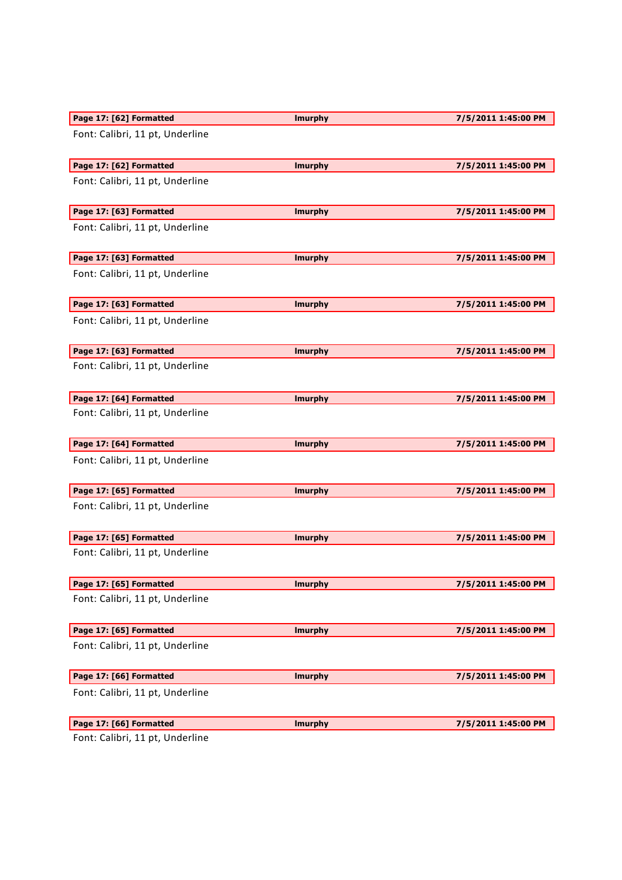| Page 17: [62] Formatted         | <b>Imurphy</b> | 7/5/2011 1:45:00 PM |
|---------------------------------|----------------|---------------------|
| Font: Calibri, 11 pt, Underline |                |                     |
| Page 17: [62] Formatted         | <b>Imurphy</b> | 7/5/2011 1:45:00 PM |
| Font: Calibri, 11 pt, Underline |                |                     |
| Page 17: [63] Formatted         | <b>Imurphy</b> | 7/5/2011 1:45:00 PM |
| Font: Calibri, 11 pt, Underline |                |                     |
| Page 17: [63] Formatted         | <b>Imurphy</b> | 7/5/2011 1:45:00 PM |
| Font: Calibri, 11 pt, Underline |                |                     |
| Page 17: [63] Formatted         | <b>Imurphy</b> | 7/5/2011 1:45:00 PM |
| Font: Calibri, 11 pt, Underline |                |                     |
| Page 17: [63] Formatted         | <b>Imurphy</b> | 7/5/2011 1:45:00 PM |
| Font: Calibri, 11 pt, Underline |                |                     |
| Page 17: [64] Formatted         | <b>Imurphy</b> | 7/5/2011 1:45:00 PM |
| Font: Calibri, 11 pt, Underline |                |                     |
| Page 17: [64] Formatted         | <b>Imurphy</b> | 7/5/2011 1:45:00 PM |
| Font: Calibri, 11 pt, Underline |                |                     |
| Page 17: [65] Formatted         | <b>Imurphy</b> | 7/5/2011 1:45:00 PM |
| Font: Calibri, 11 pt, Underline |                |                     |
| Page 17: [65] Formatted         | <b>Imurphy</b> | 7/5/2011 1:45:00 PM |
| Font: Calibri, 11 pt, Underline |                |                     |
| Page 17: [65] Formatted         | <b>Imurphy</b> | 7/5/2011 1:45:00 PM |
| Font: Calibri, 11 pt, Underline |                |                     |
| Page 17: [65] Formatted         | <b>Imurphy</b> | 7/5/2011 1:45:00 PM |
| Font: Calibri, 11 pt, Underline |                |                     |
| Page 17: [66] Formatted         | <b>Imurphy</b> | 7/5/2011 1:45:00 PM |
| Font: Calibri, 11 pt, Underline |                |                     |
|                                 |                |                     |
| Page 17: [66] Formatted         | <b>Imurphy</b> | 7/5/2011 1:45:00 PM |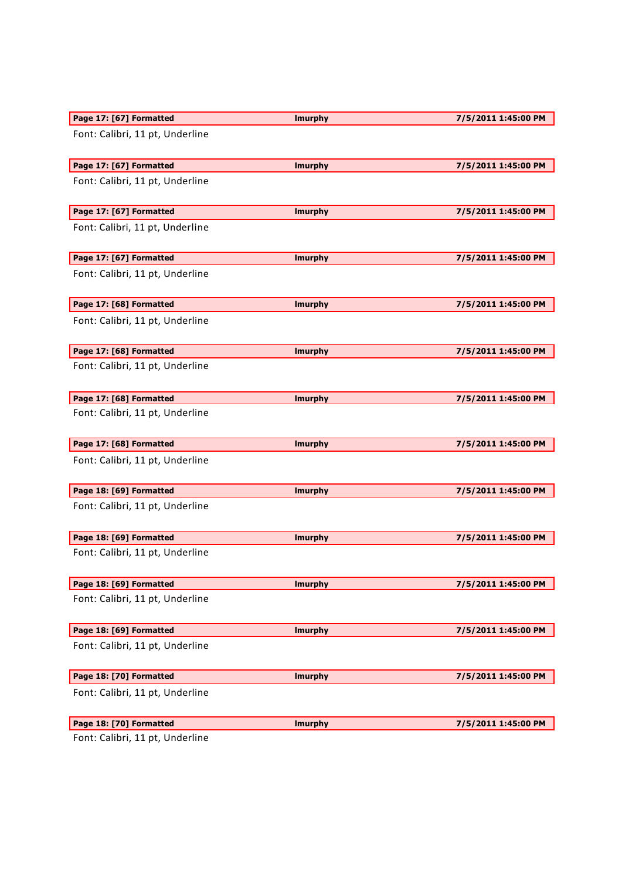| Page 17: [67] Formatted         | <b>Imurphy</b> | 7/5/2011 1:45:00 PM |
|---------------------------------|----------------|---------------------|
| Font: Calibri, 11 pt, Underline |                |                     |
| Page 17: [67] Formatted         | <b>Imurphy</b> | 7/5/2011 1:45:00 PM |
| Font: Calibri, 11 pt, Underline |                |                     |
| Page 17: [67] Formatted         | <b>Imurphy</b> | 7/5/2011 1:45:00 PM |
| Font: Calibri, 11 pt, Underline |                |                     |
| Page 17: [67] Formatted         | <b>Imurphy</b> | 7/5/2011 1:45:00 PM |
| Font: Calibri, 11 pt, Underline |                |                     |
| Page 17: [68] Formatted         | <b>Imurphy</b> | 7/5/2011 1:45:00 PM |
| Font: Calibri, 11 pt, Underline |                |                     |
| Page 17: [68] Formatted         | <b>Imurphy</b> | 7/5/2011 1:45:00 PM |
| Font: Calibri, 11 pt, Underline |                |                     |
| Page 17: [68] Formatted         | <b>Imurphy</b> | 7/5/2011 1:45:00 PM |
| Font: Calibri, 11 pt, Underline |                |                     |
| Page 17: [68] Formatted         | <b>Imurphy</b> | 7/5/2011 1:45:00 PM |
| Font: Calibri, 11 pt, Underline |                |                     |
| Page 18: [69] Formatted         | <b>Imurphy</b> | 7/5/2011 1:45:00 PM |
| Font: Calibri, 11 pt, Underline |                |                     |
| Page 18: [69] Formatted         | <b>Imurphy</b> | 7/5/2011 1:45:00 PM |
| Font: Calibri, 11 pt, Underline |                |                     |
| Page 18: [69] Formatted         | <b>Imurphy</b> | 7/5/2011 1:45:00 PM |
| Font: Calibri, 11 pt, Underline |                |                     |
| Page 18: [69] Formatted         | <b>Imurphy</b> | 7/5/2011 1:45:00 PM |
| Font: Calibri, 11 pt, Underline |                |                     |
| Page 18: [70] Formatted         | <b>Imurphy</b> | 7/5/2011 1:45:00 PM |
|                                 |                |                     |
| Font: Calibri, 11 pt, Underline |                |                     |
| Page 18: [70] Formatted         | <b>Imurphy</b> | 7/5/2011 1:45:00 PM |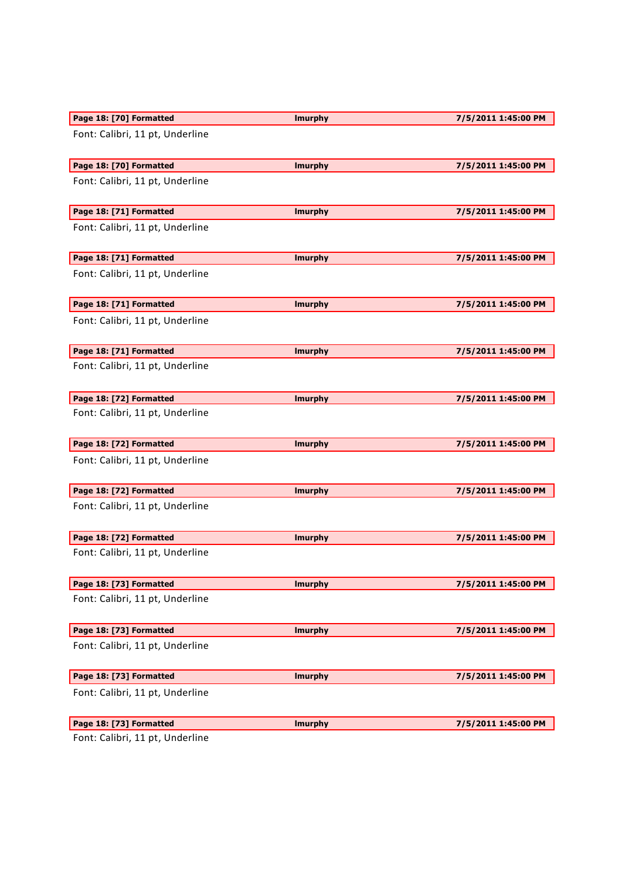| Page 18: [70] Formatted         | <b>Imurphy</b> | 7/5/2011 1:45:00 PM |
|---------------------------------|----------------|---------------------|
| Font: Calibri, 11 pt, Underline |                |                     |
| Page 18: [70] Formatted         | <b>Imurphy</b> | 7/5/2011 1:45:00 PM |
| Font: Calibri, 11 pt, Underline |                |                     |
| Page 18: [71] Formatted         | <b>Imurphy</b> | 7/5/2011 1:45:00 PM |
| Font: Calibri, 11 pt, Underline |                |                     |
| Page 18: [71] Formatted         | <b>Imurphy</b> | 7/5/2011 1:45:00 PM |
| Font: Calibri, 11 pt, Underline |                |                     |
| Page 18: [71] Formatted         | <b>Imurphy</b> | 7/5/2011 1:45:00 PM |
| Font: Calibri, 11 pt, Underline |                |                     |
| Page 18: [71] Formatted         | <b>Imurphy</b> | 7/5/2011 1:45:00 PM |
| Font: Calibri, 11 pt, Underline |                |                     |
| Page 18: [72] Formatted         | <b>Imurphy</b> | 7/5/2011 1:45:00 PM |
| Font: Calibri, 11 pt, Underline |                |                     |
| Page 18: [72] Formatted         | <b>Imurphy</b> | 7/5/2011 1:45:00 PM |
| Font: Calibri, 11 pt, Underline |                |                     |
| Page 18: [72] Formatted         | <b>Imurphy</b> | 7/5/2011 1:45:00 PM |
| Font: Calibri, 11 pt, Underline |                |                     |
| Page 18: [72] Formatted         | <b>Imurphy</b> | 7/5/2011 1:45:00 PM |
| Font: Calibri, 11 pt, Underline |                |                     |
| Page 18: [73] Formatted         | <b>Imurphy</b> | 7/5/2011 1:45:00 PM |
| Font: Calibri, 11 pt, Underline |                |                     |
| Page 18: [73] Formatted         | <b>Imurphy</b> | 7/5/2011 1:45:00 PM |
| Font: Calibri, 11 pt, Underline |                |                     |
|                                 |                |                     |
| Page 18: [73] Formatted         | <b>Imurphy</b> | 7/5/2011 1:45:00 PM |
| Font: Calibri, 11 pt, Underline |                |                     |
| Page 18: [73] Formatted         | <b>Imurphy</b> | 7/5/2011 1:45:00 PM |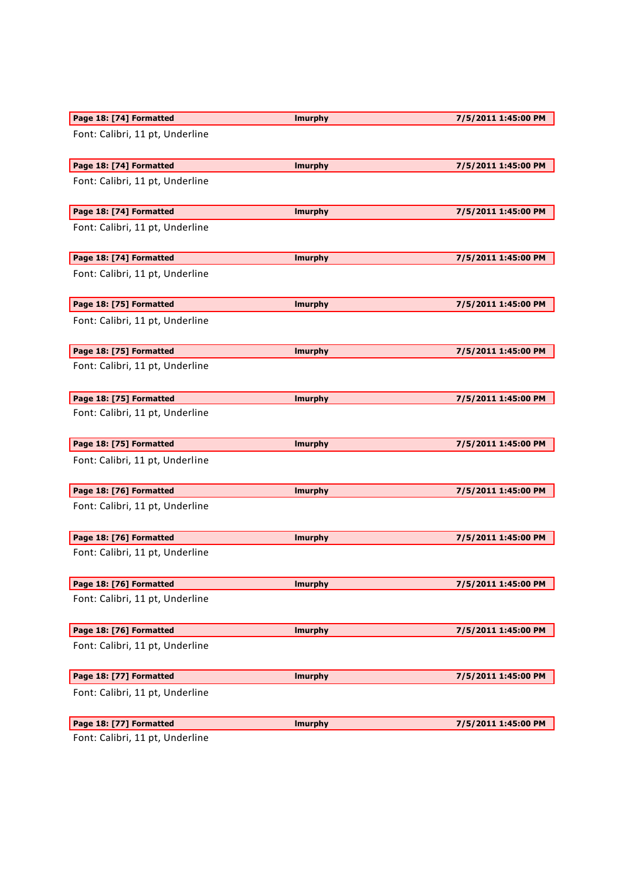| Page 18: [74] Formatted         | <b>Imurphy</b> | 7/5/2011 1:45:00 PM |
|---------------------------------|----------------|---------------------|
| Font: Calibri, 11 pt, Underline |                |                     |
| Page 18: [74] Formatted         | <b>Imurphy</b> | 7/5/2011 1:45:00 PM |
| Font: Calibri, 11 pt, Underline |                |                     |
| Page 18: [74] Formatted         | <b>Imurphy</b> | 7/5/2011 1:45:00 PM |
| Font: Calibri, 11 pt, Underline |                |                     |
| Page 18: [74] Formatted         | <b>Imurphy</b> | 7/5/2011 1:45:00 PM |
| Font: Calibri, 11 pt, Underline |                |                     |
| Page 18: [75] Formatted         | <b>Imurphy</b> | 7/5/2011 1:45:00 PM |
| Font: Calibri, 11 pt, Underline |                |                     |
| Page 18: [75] Formatted         | <b>Imurphy</b> | 7/5/2011 1:45:00 PM |
| Font: Calibri, 11 pt, Underline |                |                     |
| Page 18: [75] Formatted         | <b>Imurphy</b> | 7/5/2011 1:45:00 PM |
| Font: Calibri, 11 pt, Underline |                |                     |
| Page 18: [75] Formatted         | <b>Imurphy</b> | 7/5/2011 1:45:00 PM |
| Font: Calibri, 11 pt, Underline |                |                     |
| Page 18: [76] Formatted         | <b>Imurphy</b> | 7/5/2011 1:45:00 PM |
| Font: Calibri, 11 pt, Underline |                |                     |
| Page 18: [76] Formatted         | <b>Imurphy</b> | 7/5/2011 1:45:00 PM |
| Font: Calibri, 11 pt, Underline |                |                     |
| Page 18: [76] Formatted         | <b>Imurphy</b> | 7/5/2011 1:45:00 PM |
| Font: Calibri, 11 pt, Underline |                |                     |
| Page 18: [76] Formatted         | <b>Imurphy</b> | 7/5/2011 1:45:00 PM |
| Font: Calibri, 11 pt, Underline |                |                     |
| Page 18: [77] Formatted         | <b>Imurphy</b> | 7/5/2011 1:45:00 PM |
| Font: Calibri, 11 pt, Underline |                |                     |
| Page 18: [77] Formatted         | <b>Imurphy</b> | 7/5/2011 1:45:00 PM |
| Eant: Calibri 11 nt IIndorlina  |                |                     |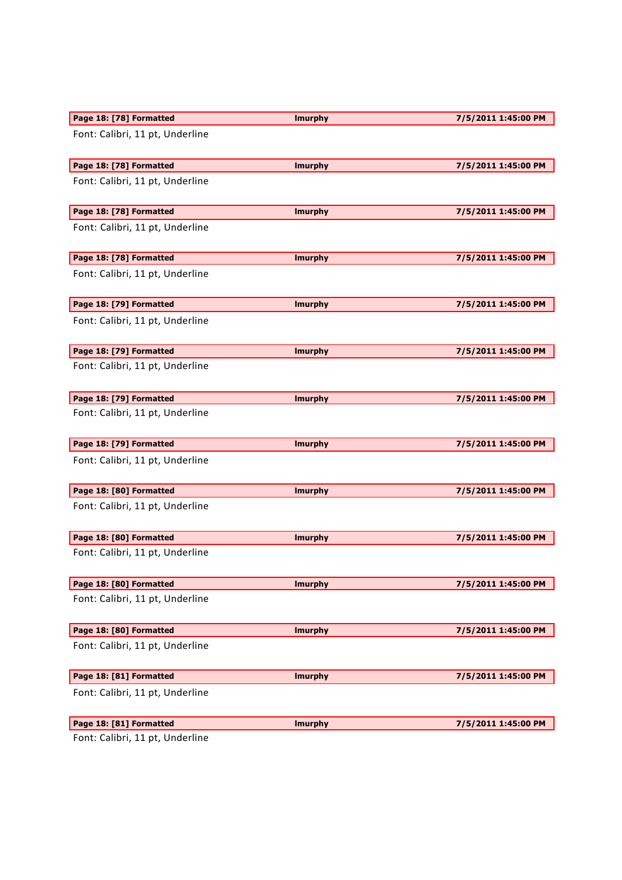| Page 18: [78] Formatted         | <b>Imurphy</b> | 7/5/2011 1:45:00 PM |
|---------------------------------|----------------|---------------------|
| Font: Calibri, 11 pt, Underline |                |                     |
| Page 18: [78] Formatted         | <b>Imurphy</b> | 7/5/2011 1:45:00 PM |
| Font: Calibri, 11 pt, Underline |                |                     |
| Page 18: [78] Formatted         | <b>Imurphy</b> | 7/5/2011 1:45:00 PM |
| Font: Calibri, 11 pt, Underline |                |                     |
| Page 18: [78] Formatted         | <b>Imurphy</b> | 7/5/2011 1:45:00 PM |
| Font: Calibri, 11 pt, Underline |                |                     |
| Page 18: [79] Formatted         | <b>Imurphy</b> | 7/5/2011 1:45:00 PM |
| Font: Calibri, 11 pt, Underline |                |                     |
| Page 18: [79] Formatted         | <b>Imurphy</b> | 7/5/2011 1:45:00 PM |
| Font: Calibri, 11 pt, Underline |                |                     |
| Page 18: [79] Formatted         | <b>Imurphy</b> | 7/5/2011 1:45:00 PM |
| Font: Calibri, 11 pt, Underline |                |                     |
| Page 18: [79] Formatted         | <b>Imurphy</b> | 7/5/2011 1:45:00 PM |
| Font: Calibri, 11 pt, Underline |                |                     |
| Page 18: [80] Formatted         | <b>Imurphy</b> | 7/5/2011 1:45:00 PM |
| Font: Calibri, 11 pt, Underline |                |                     |
| Page 18: [80] Formatted         | <b>Imurphy</b> | 7/5/2011 1:45:00 PM |
| Font: Calibri, 11 pt, Underline |                |                     |
| Page 18: [80] Formatted         | <b>Imurphy</b> | 7/5/2011 1:45:00 PM |
| Font: Calibri, 11 pt, Underline |                |                     |
| Page 18: [80] Formatted         | <b>Imurphy</b> | 7/5/2011 1:45:00 PM |
| Font: Calibri, 11 pt, Underline |                |                     |
|                                 |                |                     |
| Page 18: [81] Formatted         | <b>Imurphy</b> | 7/5/2011 1:45:00 PM |
| Font: Calibri, 11 pt, Underline |                |                     |
| Page 18: [81] Formatted         | <b>Imurphy</b> | 7/5/2011 1:45:00 PM |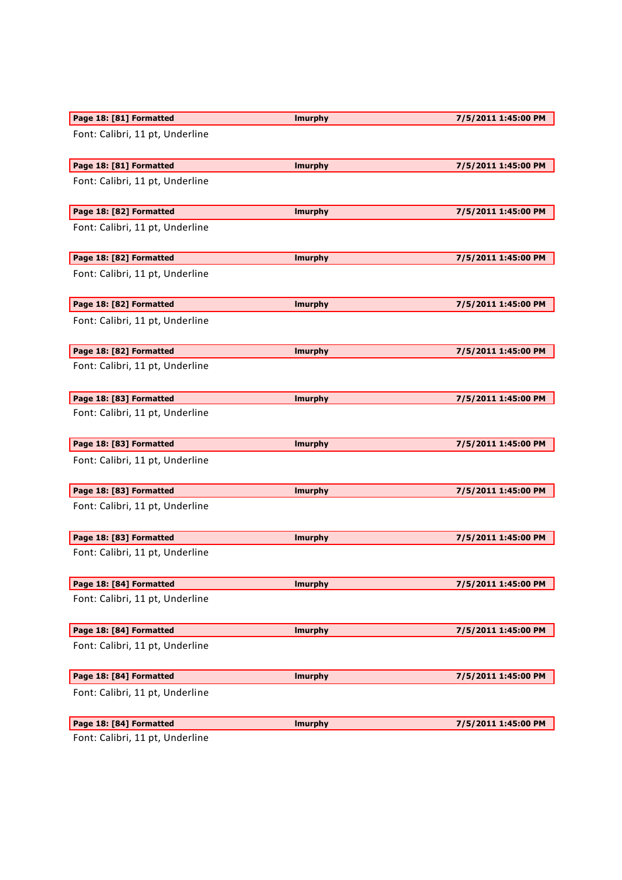| Page 18: [81] Formatted                 | <b>Imurphy</b> | 7/5/2011 1:45:00 PM |
|-----------------------------------------|----------------|---------------------|
| Font: Calibri, 11 pt, Underline         |                |                     |
| Page 18: [81] Formatted                 | <b>Imurphy</b> | 7/5/2011 1:45:00 PM |
| Font: Calibri, 11 pt, Underline         |                |                     |
| Page 18: [82] Formatted                 | <b>Imurphy</b> | 7/5/2011 1:45:00 PM |
| Font: Calibri, 11 pt, Underline         |                |                     |
| Page 18: [82] Formatted                 | <b>Imurphy</b> | 7/5/2011 1:45:00 PM |
| Font: Calibri, 11 pt, Underline         |                |                     |
| Page 18: [82] Formatted                 | <b>Imurphy</b> | 7/5/2011 1:45:00 PM |
| Font: Calibri, 11 pt, Underline         |                |                     |
| Page 18: [82] Formatted                 | <b>Imurphy</b> | 7/5/2011 1:45:00 PM |
| Font: Calibri, 11 pt, Underline         |                |                     |
| Page 18: [83] Formatted                 | <b>Imurphy</b> | 7/5/2011 1:45:00 PM |
| Font: Calibri, 11 pt, Underline         |                |                     |
| Page 18: [83] Formatted                 | <b>Imurphy</b> | 7/5/2011 1:45:00 PM |
| Font: Calibri, 11 pt, Underline         |                |                     |
| Page 18: [83] Formatted                 | <b>Imurphy</b> | 7/5/2011 1:45:00 PM |
| Font: Calibri, 11 pt, Underline         |                |                     |
| Page 18: [83] Formatted                 | <b>Imurphy</b> | 7/5/2011 1:45:00 PM |
| Font: Calibri, 11 pt, Underline         |                |                     |
| Page 18: [84] Formatted                 | <b>Imurphy</b> | 7/5/2011 1:45:00 PM |
| Font: Calibri, 11 pt, Underline         |                |                     |
| Page 18: [84] Formatted                 | <b>Imurphy</b> | 7/5/2011 1:45:00 PM |
| Font: Calibri, 11 pt, Underline         |                |                     |
| Page 18: [84] Formatted                 | <b>Imurphy</b> | 7/5/2011 1:45:00 PM |
| Font: Calibri, 11 pt, Underline         |                |                     |
| Page 18: [84] Formatted                 | <b>Imurphy</b> | 7/5/2011 1:45:00 PM |
| $\mathsf{Cont}$ Calibri 11 nt Underline |                |                     |